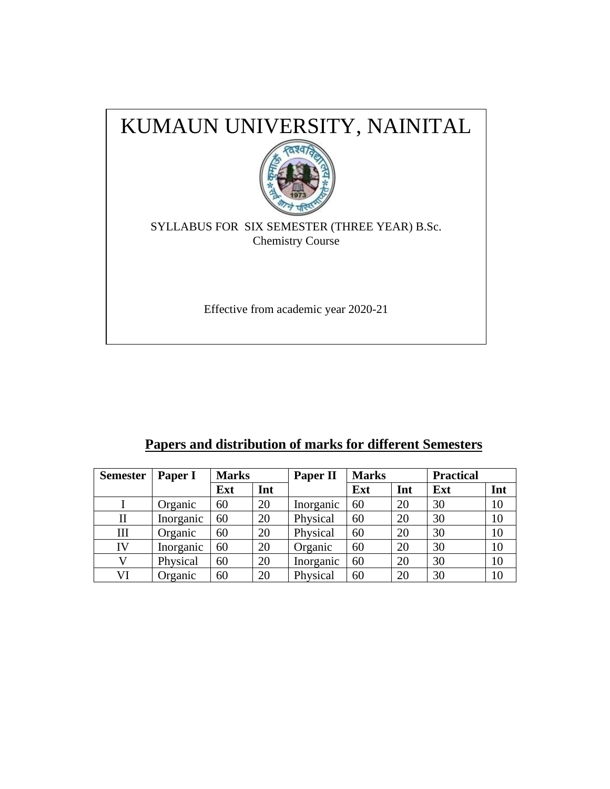

# **Papers and distribution of marks for different Semesters**

| <b>Semester</b> | Paper I   | <b>Marks</b> |     | Paper II  | <b>Marks</b> |     | <b>Practical</b> |     |
|-----------------|-----------|--------------|-----|-----------|--------------|-----|------------------|-----|
|                 |           | Ext          | Int |           | Ext          | Int | Ext              | Int |
|                 | Organic   | 60           | 20  | Inorganic | 60           | 20  | 30               | 10  |
| $\rm II$        | Inorganic | 60           | 20  | Physical  | 60           | 20  | 30               | 10  |
| III             | Organic   | 60           | 20  | Physical  | 60           | 20  | 30               | 10  |
| IV              | Inorganic | 60           | 20  | Organic   | 60           | 20  | 30               | 10  |
|                 | Physical  | 60           | 20  | Inorganic | 60           | 20  | 30               | 10  |
| VI              | Organic   | 60           | 20  | Physical  | 60           | 20  | 30               | 10  |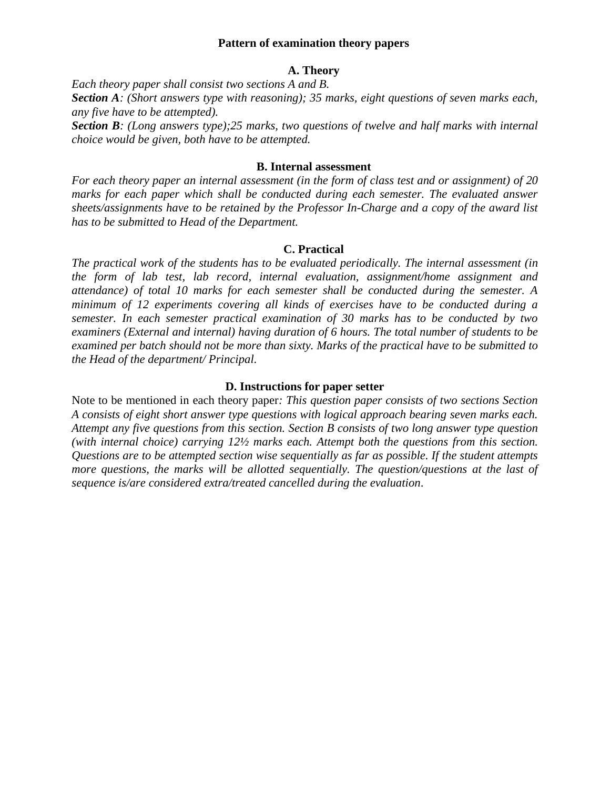#### **Pattern of examination theory papers**

#### **A. Theory**

*Each theory paper shall consist two sections A and B.* 

*Section A: (Short answers type with reasoning); 35 marks, eight questions of seven marks each, any five have to be attempted).*

*Section B: (Long answers type);25 marks, two questions of twelve and half marks with internal choice would be given, both have to be attempted.* 

#### **B. Internal assessment**

*For each theory paper an internal assessment (in the form of class test and or assignment) of 20 marks for each paper which shall be conducted during each semester. The evaluated answer sheets/assignments have to be retained by the Professor In-Charge and a copy of the award list has to be submitted to Head of the Department.*

#### **C. Practical**

*The practical work of the students has to be evaluated periodically. The internal assessment (in the form of lab test, lab record, internal evaluation, assignment/home assignment and attendance) of total 10 marks for each semester shall be conducted during the semester. A minimum of 12 experiments covering all kinds of exercises have to be conducted during a semester. In each semester practical examination of 30 marks has to be conducted by two examiners (External and internal) having duration of 6 hours. The total number of students to be examined per batch should not be more than sixty. Marks of the practical have to be submitted to the Head of the department/ Principal.* 

#### **D. Instructions for paper setter**

Note to be mentioned in each theory paper*: This question paper consists of two sections Section A consists of eight short answer type questions with logical approach bearing seven marks each. Attempt any five questions from this section. Section B consists of two long answer type question (with internal choice) carrying 12½ marks each. Attempt both the questions from this section. Questions are to be attempted section wise sequentially as far as possible. If the student attempts more questions, the marks will be allotted sequentially. The question/questions at the last of sequence is/are considered extra/treated cancelled during the evaluation*.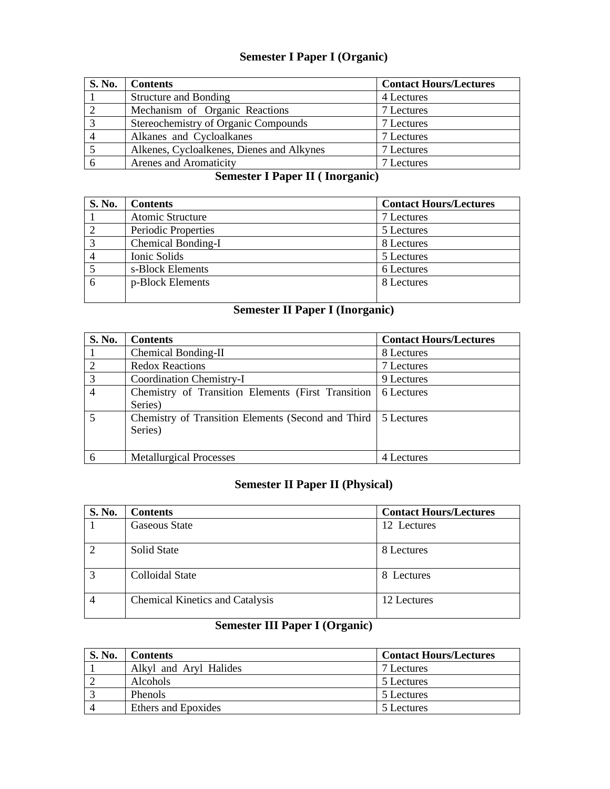## **Semester I Paper I (Organic)**

| <b>S. No.</b> | <b>Contents</b>                           | <b>Contact Hours/Lectures</b> |
|---------------|-------------------------------------------|-------------------------------|
|               | <b>Structure and Bonding</b>              | 4 Lectures                    |
|               | Mechanism of Organic Reactions            | 7 Lectures                    |
|               | Stereochemistry of Organic Compounds      | 7 Lectures                    |
|               | Alkanes and Cycloalkanes                  | 7 Lectures                    |
|               | Alkenes, Cycloalkenes, Dienes and Alkynes | 7 Lectures                    |
| O             | Arenes and Aromaticity                    | 7 Lectures                    |

## **Semester I Paper II ( Inorganic)**

| S. No. | <b>Contents</b>     | <b>Contact Hours/Lectures</b> |
|--------|---------------------|-------------------------------|
|        | Atomic Structure    | 7 Lectures                    |
|        | Periodic Properties | 5 Lectures                    |
|        | Chemical Bonding-I  | 8 Lectures                    |
|        | Ionic Solids        | 5 Lectures                    |
|        | s-Block Elements    | 6 Lectures                    |
| 6      | p-Block Elements    | 8 Lectures                    |

# **Semester II Paper I (Inorganic)**

| S. No. | <b>Contents</b>                                     | <b>Contact Hours/Lectures</b> |
|--------|-----------------------------------------------------|-------------------------------|
|        | Chemical Bonding-II                                 | 8 Lectures                    |
| 2      | <b>Redox Reactions</b>                              | 7 Lectures                    |
| 3      | Coordination Chemistry-I                            | 9 Lectures                    |
|        | Chemistry of Transition Elements (First Transition) | 6 Lectures                    |
|        | Series)                                             |                               |
| 5      | Chemistry of Transition Elements (Second and Third  | 5 Lectures                    |
|        | Series)                                             |                               |
|        |                                                     |                               |
| 6      | <b>Metallurgical Processes</b>                      | 4 Lectures                    |

# **Semester II Paper II (Physical)**

| <b>S. No.</b> | <b>Contents</b>                        | <b>Contact Hours/Lectures</b> |
|---------------|----------------------------------------|-------------------------------|
|               | <b>Gaseous State</b>                   | 12 Lectures                   |
| $\mathcal{D}$ | Solid State                            | 8 Lectures                    |
| 3             | Colloidal State                        | 8 Lectures                    |
| 4             | <b>Chemical Kinetics and Catalysis</b> | 12 Lectures                   |

# **Semester III Paper I (Organic)**

| S. No. | Contents               | <b>Contact Hours/Lectures</b> |
|--------|------------------------|-------------------------------|
|        | Alkyl and Aryl Halides | 7 Lectures                    |
|        | <b>Alcohols</b>        | 5 Lectures                    |
|        | <b>Phenols</b>         | 5 Lectures                    |
|        | Ethers and Epoxides    | 5 Lectures                    |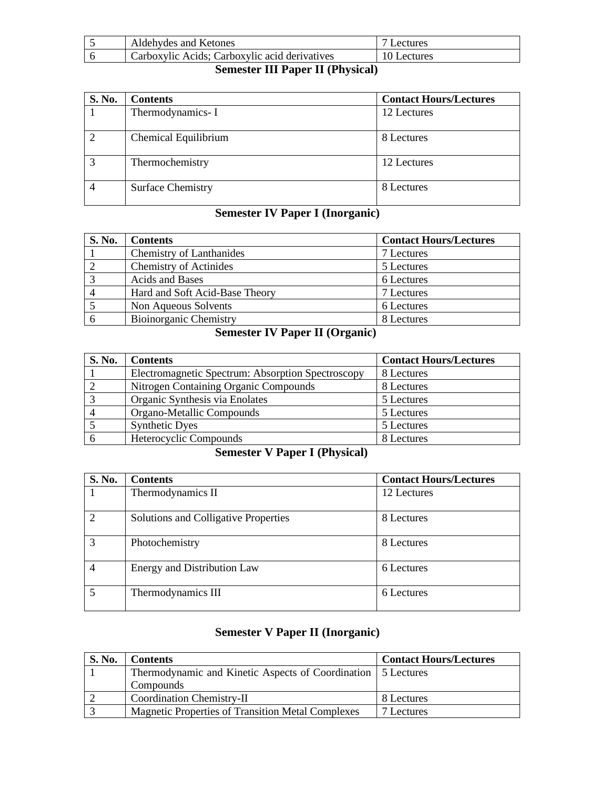| Aldehydes and Ketones                         | Lectures    |
|-----------------------------------------------|-------------|
| Carboxylic Acids; Carboxylic acid derivatives | 10 Lectures |
|                                               |             |

## **Semester III Paper II (Physical)**

| <b>S. No.</b> | <b>Contents</b>          | <b>Contact Hours/Lectures</b> |
|---------------|--------------------------|-------------------------------|
|               | Thermodynamics-I         | 12 Lectures                   |
|               | Chemical Equilibrium     | 8 Lectures                    |
|               | Thermochemistry          | 12 Lectures                   |
|               | <b>Surface Chemistry</b> | 8 Lectures                    |

# **Semester IV Paper I (Inorganic)**

| S. No. | <b>Contents</b>                 | <b>Contact Hours/Lectures</b> |
|--------|---------------------------------|-------------------------------|
|        | <b>Chemistry of Lanthanides</b> | 7 Lectures                    |
|        | <b>Chemistry of Actinides</b>   | 5 Lectures                    |
|        | Acids and Bases                 | 6 Lectures                    |
|        | Hard and Soft Acid-Base Theory  | 7 Lectures                    |
|        | Non Aqueous Solvents            | 6 Lectures                    |
|        | <b>Bioinorganic Chemistry</b>   | 8 Lectures                    |

## **Semester IV Paper II (Organic)**

| <b>S. No.</b> | <b>Contents</b>                                   | <b>Contact Hours/Lectures</b> |
|---------------|---------------------------------------------------|-------------------------------|
|               | Electromagnetic Spectrum: Absorption Spectroscopy | 8 Lectures                    |
|               | Nitrogen Containing Organic Compounds             | 8 Lectures                    |
|               | Organic Synthesis via Enolates                    | 5 Lectures                    |
|               | Organo-Metallic Compounds                         | 5 Lectures                    |
|               | <b>Synthetic Dyes</b>                             | 5 Lectures                    |
|               | Heterocyclic Compounds                            | 8 Lectures                    |

# **Semester V Paper I (Physical)**

| <b>S. No.</b> | <b>Contents</b>                      | <b>Contact Hours/Lectures</b> |
|---------------|--------------------------------------|-------------------------------|
|               | Thermodynamics II                    | 12 Lectures                   |
| 2             | Solutions and Colligative Properties | 8 Lectures                    |
| 3             | Photochemistry                       | 8 Lectures                    |
|               | Energy and Distribution Law          | 6 Lectures                    |
| 5             | Thermodynamics III                   | 6 Lectures                    |

## **Semester V Paper II (Inorganic)**

| <b>S. No.</b> | <b>Contents</b>                                                | <b>Contact Hours/Lectures</b> |
|---------------|----------------------------------------------------------------|-------------------------------|
|               | Thermodynamic and Kinetic Aspects of Coordination   5 Lectures |                               |
|               | Compounds                                                      |                               |
|               | <b>Coordination Chemistry-II</b>                               | 8 Lectures                    |
|               | <b>Magnetic Properties of Transition Metal Complexes</b>       | 7 Lectures                    |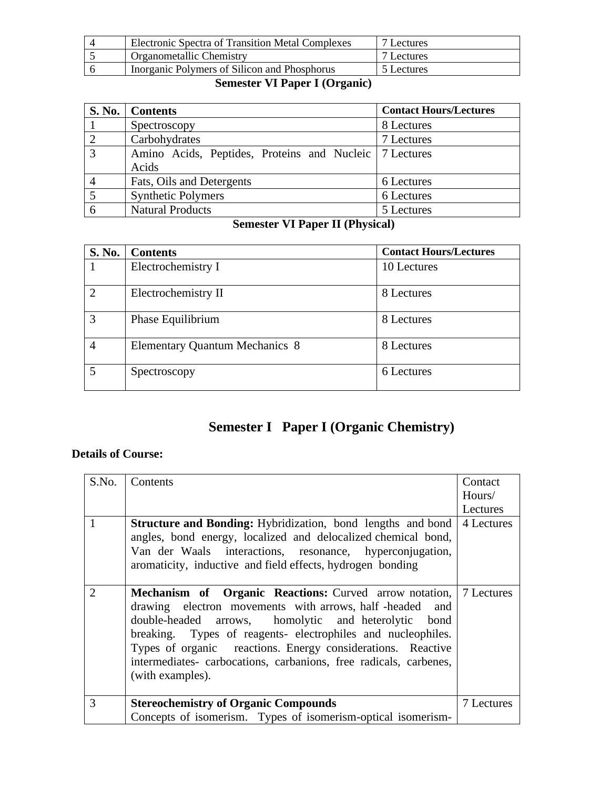| <b>Electronic Spectra of Transition Metal Complexes</b> | 7 Lectures |
|---------------------------------------------------------|------------|
| Organometallic Chemistry                                | 7 Lectures |
| Inorganic Polymers of Silicon and Phosphorus            | 5 Lectures |

## **Semester VI Paper I (Organic)**

|                | S. No.   Contents                                                 | <b>Contact Hours/Lectures</b> |
|----------------|-------------------------------------------------------------------|-------------------------------|
|                | Spectroscopy                                                      | 8 Lectures                    |
| $\overline{2}$ | Carbohydrates                                                     | 7 Lectures                    |
| $\overline{3}$ | Amino Acids, Peptides, Proteins and Nucleic   7 Lectures<br>Acids |                               |
| $\overline{4}$ | Fats, Oils and Detergents                                         | 6 Lectures                    |
|                | <b>Synthetic Polymers</b>                                         | 6 Lectures                    |
|                | <b>Natural Products</b>                                           | 5 Lectures                    |

# **Semester VI Paper II (Physical)**

| <b>S. No.</b>               | <b>Contents</b>                       | <b>Contact Hours/Lectures</b> |
|-----------------------------|---------------------------------------|-------------------------------|
|                             | Electrochemistry I                    | 10 Lectures                   |
| $\mathcal{D}_{\mathcal{L}}$ | Electrochemistry II                   | 8 Lectures                    |
|                             | Phase Equilibrium                     | 8 Lectures                    |
| 4                           | <b>Elementary Quantum Mechanics 8</b> | 8 Lectures                    |
| 5                           | Spectroscopy                          | 6 Lectures                    |

# **Semester I Paper I (Organic Chemistry)**

| S.No.                       | Contents                                                                 | Contact    |
|-----------------------------|--------------------------------------------------------------------------|------------|
|                             |                                                                          | Hours/     |
|                             |                                                                          | Lectures   |
|                             | <b>Structure and Bonding:</b> Hybridization, bond lengths and bond       | 4 Lectures |
|                             | angles, bond energy, localized and delocalized chemical bond,            |            |
|                             | Van der Waals interactions, resonance, hyperconjugation,                 |            |
|                             | aromaticity, inductive and field effects, hydrogen bonding               |            |
|                             |                                                                          |            |
| $\mathcal{D}_{\mathcal{L}}$ | <b>Mechanism of Organic Reactions:</b> Curved arrow notation, 7 Lectures |            |
|                             | drawing electron movements with arrows, half-headed and                  |            |
|                             | double-headed arrows, homolytic and heterolytic bond                     |            |
|                             | breaking. Types of reagents- electrophiles and nucleophiles.             |            |
|                             | Types of organic reactions. Energy considerations. Reactive              |            |
|                             | intermediates- carbocations, carbanions, free radicals, carbenes,        |            |
|                             | (with examples).                                                         |            |
|                             |                                                                          |            |
| 3                           | <b>Stereochemistry of Organic Compounds</b>                              | 7 Lectures |
|                             | Concepts of isomerism. Types of isomerism-optical isomerism-             |            |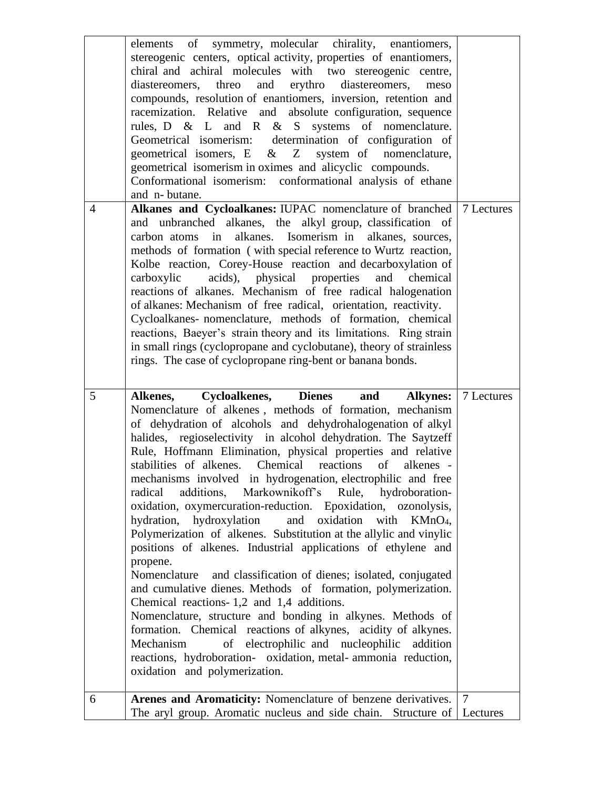|                | elements of symmetry, molecular chirality, enantiomers,<br>stereogenic centers, optical activity, properties of enantiomers,     |                            |
|----------------|----------------------------------------------------------------------------------------------------------------------------------|----------------------------|
|                | chiral and achiral molecules with two stereogenic centre,                                                                        |                            |
|                | erythro diastereomers,<br>diastereomers, threo<br>and<br>meso<br>compounds, resolution of enantiomers, inversion, retention and  |                            |
|                | racemization. Relative and absolute configuration, sequence                                                                      |                            |
|                | rules, D & L and R & S systems of nomenclature.                                                                                  |                            |
|                | Geometrical isomerism: determination of configuration of<br>system of nomenclature,<br>geometrical isomers, $E \& Z$             |                            |
|                | geometrical isomerism in oximes and alicyclic compounds.                                                                         |                            |
|                | Conformational isomerism: conformational analysis of ethane                                                                      |                            |
| $\overline{4}$ | and n-butane.<br>Alkanes and Cycloalkanes: IUPAC nomenclature of branched   7 Lectures                                           |                            |
|                | and unbranched alkanes, the alkyl group, classification of                                                                       |                            |
|                | carbon atoms in alkanes. Isomerism in alkanes, sources,                                                                          |                            |
|                | methods of formation (with special reference to Wurtz reaction,                                                                  |                            |
|                | Kolbe reaction, Corey-House reaction and decarboxylation of<br>acids), physical properties<br>carboxylic<br>and<br>chemical      |                            |
|                | reactions of alkanes. Mechanism of free radical halogenation                                                                     |                            |
|                | of alkanes: Mechanism of free radical, orientation, reactivity.                                                                  |                            |
|                | Cycloalkanes- nomenclature, methods of formation, chemical<br>reactions, Baeyer's strain theory and its limitations. Ring strain |                            |
|                | in small rings (cyclopropane and cyclobutane), theory of strainless                                                              |                            |
|                | rings. The case of cyclopropane ring-bent or banana bonds.                                                                       |                            |
|                |                                                                                                                                  |                            |
|                |                                                                                                                                  |                            |
| 5              | <b>Dienes</b><br>Cycloalkenes,<br><b>Alkynes:</b><br>and<br>Alkenes,                                                             | 7 Lectures                 |
|                | Nomenclature of alkenes, methods of formation, mechanism                                                                         |                            |
|                | of dehydration of alcohols and dehydrohalogenation of alkyl                                                                      |                            |
|                | halides, regioselectivity in alcohol dehydration. The Saytzeff<br>Rule, Hoffmann Elimination, physical properties and relative   |                            |
|                | stabilities of alkenes. Chemical<br>reactions<br>of<br>alkenes -                                                                 |                            |
|                | mechanisms involved in hydrogenation, electrophilic and free                                                                     |                            |
|                | additions, Markownikoff's Rule, hydroboration-<br>radical<br>oxidation, oxymercuration-reduction. Epoxidation, ozonolysis,       |                            |
|                | hydration, hydroxylation<br>and oxidation<br>with<br>$KMnO4$ ,                                                                   |                            |
|                | Polymerization of alkenes. Substitution at the allylic and vinylic                                                               |                            |
|                | positions of alkenes. Industrial applications of ethylene and<br>propene.                                                        |                            |
|                | and classification of dienes; isolated, conjugated<br>Nomenclature                                                               |                            |
|                | and cumulative dienes. Methods of formation, polymerization.                                                                     |                            |
|                | Chemical reactions-1,2 and 1,4 additions.<br>Nomenclature, structure and bonding in alkynes. Methods of                          |                            |
|                | formation. Chemical reactions of alkynes, acidity of alkynes.                                                                    |                            |
|                | Mechanism<br>of electrophilic and nucleophilic<br>addition                                                                       |                            |
|                | reactions, hydroboration- oxidation, metal-ammonia reduction,                                                                    |                            |
|                | oxidation and polymerization.                                                                                                    |                            |
| 6              | Arenes and Aromaticity: Nomenclature of benzene derivatives.<br>The aryl group. Aromatic nucleus and side chain. Structure of    | $\overline{7}$<br>Lectures |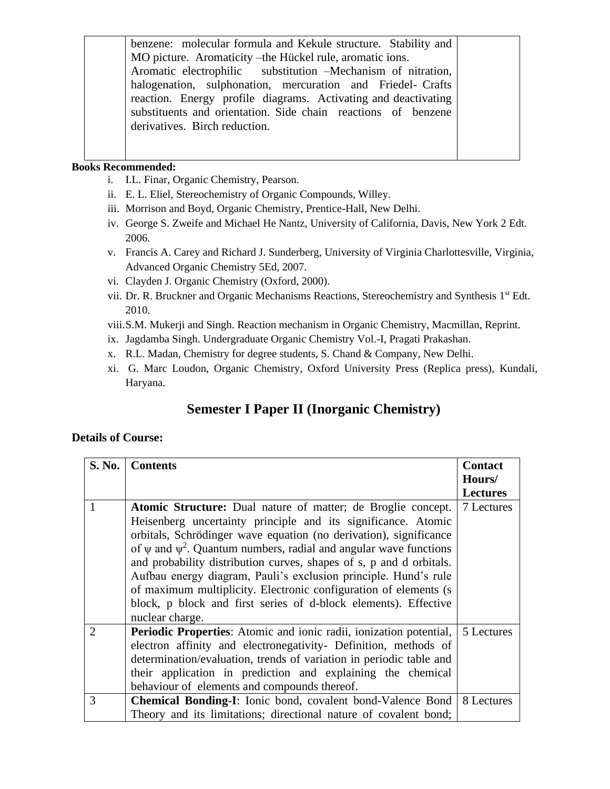benzene: molecular formula and Kekule structure. Stability and MO picture. Aromaticity –the Hückel rule, aromatic ions. Aromatic electrophilic substitution –Mechanism of nitration, halogenation, sulphonation, mercuration and Friedel- Crafts reaction. Energy profile diagrams. Activating and deactivating substituents and orientation. Side chain reactions of benzene derivatives. Birch reduction.

#### **Books Recommended:**

- i. I.L. Finar, Organic Chemistry, Pearson.
- ii. E. L. Eliel, Stereochemistry of Organic Compounds, Willey.
- iii. Morrison and Boyd, Organic Chemistry, Prentice-Hall, New Delhi.
- iv. George S. Zweife and Michael He Nantz, University of California, Davis, New York 2 Edt. 2006.
- v. Francis A. Carey and Richard J. Sunderberg, University of Virginia Charlottesville, Virginia, Advanced Organic Chemistry 5Ed, 2007.
- vi. Clayden J. Organic Chemistry (Oxford, 2000).
- vii. Dr. R. Bruckner and Organic Mechanisms Reactions, Stereochemistry and Synthesis 1<sup>st</sup> Edt. 2010.
- viii.S.M. Mukerji and Singh. Reaction mechanism in Organic Chemistry, Macmillan, Reprint.
- ix. Jagdamba Singh. Undergraduate Organic Chemistry Vol.-I, Pragati Prakashan.
- x. R.L. Madan, Chemistry for degree students, S. Chand & Company, New Delhi.
- xi. G. Marc Loudon, Organic Chemistry, Oxford University Press (Replica press), Kundali, Haryana.

## **Semester I Paper II (Inorganic Chemistry)**

| S. No. | <b>Contents</b>                                                                                                                                                                                                                                                                                                                                                                                                                                                                                                                                                                        | <b>Contact</b>  |
|--------|----------------------------------------------------------------------------------------------------------------------------------------------------------------------------------------------------------------------------------------------------------------------------------------------------------------------------------------------------------------------------------------------------------------------------------------------------------------------------------------------------------------------------------------------------------------------------------------|-----------------|
|        |                                                                                                                                                                                                                                                                                                                                                                                                                                                                                                                                                                                        | Hours/          |
|        |                                                                                                                                                                                                                                                                                                                                                                                                                                                                                                                                                                                        | <b>Lectures</b> |
| 1      | Atomic Structure: Dual nature of matter; de Broglie concept.<br>Heisenberg uncertainty principle and its significance. Atomic<br>orbitals, Schrödinger wave equation (no derivation), significance<br>of $\psi$ and $\psi^2$ . Quantum numbers, radial and angular wave functions<br>and probability distribution curves, shapes of s, p and d orbitals.<br>Aufbau energy diagram, Pauli's exclusion principle. Hund's rule<br>of maximum multiplicity. Electronic configuration of elements (s)<br>block, p block and first series of d-block elements). Effective<br>nuclear charge. | 7 Lectures      |
| 2      | Periodic Properties: Atomic and ionic radii, ionization potential,<br>electron affinity and electronegativity- Definition, methods of<br>determination/evaluation, trends of variation in periodic table and<br>their application in prediction and explaining the chemical<br>behaviour of elements and compounds thereof.                                                                                                                                                                                                                                                            | 5 Lectures      |
| 3      | <b>Chemical Bonding-I:</b> Ionic bond, covalent bond-Valence Bond<br>Theory and its limitations; directional nature of covalent bond;                                                                                                                                                                                                                                                                                                                                                                                                                                                  | 8 Lectures      |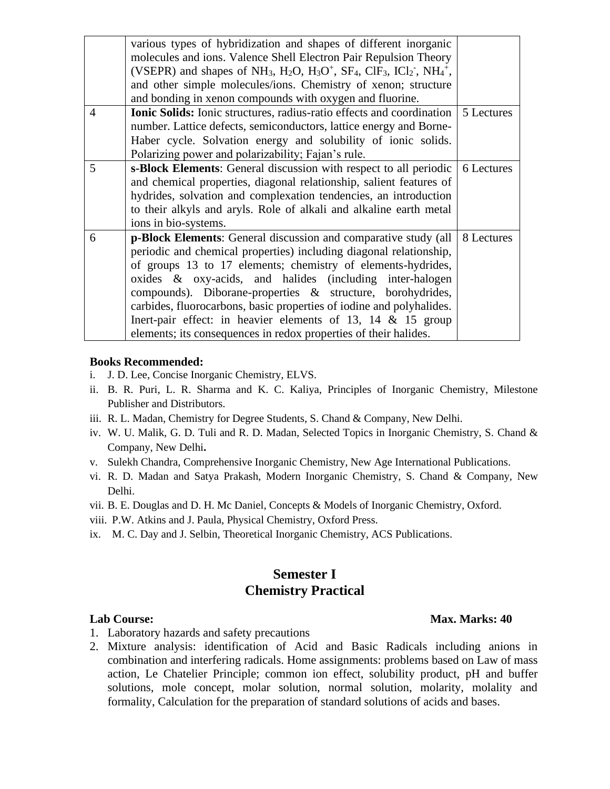|                | various types of hybridization and shapes of different inorganic                                                                                                                              |            |
|----------------|-----------------------------------------------------------------------------------------------------------------------------------------------------------------------------------------------|------------|
|                | molecules and ions. Valence Shell Electron Pair Repulsion Theory                                                                                                                              |            |
|                | (VSEPR) and shapes of NH <sub>3</sub> , H <sub>2</sub> O, H <sub>3</sub> O <sup>+</sup> , SF <sub>4</sub> , ClF <sub>3</sub> , ICl <sub>2</sub> <sup>-</sup> , NH <sub>4</sub> <sup>+</sup> , |            |
|                | and other simple molecules/ions. Chemistry of xenon; structure                                                                                                                                |            |
|                | and bonding in xenon compounds with oxygen and fluorine.                                                                                                                                      |            |
| $\overline{4}$ | <b>Ionic Solids:</b> Ionic structures, radius-ratio effects and coordination                                                                                                                  | 5 Lectures |
|                | number. Lattice defects, semiconductors, lattice energy and Borne-                                                                                                                            |            |
|                | Haber cycle. Solvation energy and solubility of ionic solids.                                                                                                                                 |            |
|                | Polarizing power and polarizability; Fajan's rule.                                                                                                                                            |            |
| 5              | s-Block Elements: General discussion with respect to all periodic                                                                                                                             | 6 Lectures |
|                | and chemical properties, diagonal relationship, salient features of                                                                                                                           |            |
|                | hydrides, solvation and complexation tendencies, an introduction                                                                                                                              |            |
|                | to their alkyls and aryls. Role of alkali and alkaline earth metal                                                                                                                            |            |
|                | ions in bio-systems.                                                                                                                                                                          |            |
| 6              | <b>p-Block Elements:</b> General discussion and comparative study (all                                                                                                                        | 8 Lectures |
|                | periodic and chemical properties) including diagonal relationship,                                                                                                                            |            |
|                | of groups 13 to 17 elements; chemistry of elements-hydrides,                                                                                                                                  |            |
|                | oxides & oxy-acids, and halides (including inter-halogen                                                                                                                                      |            |
|                | compounds). Diborane-properties & structure, borohydrides,                                                                                                                                    |            |
|                | carbides, fluorocarbons, basic properties of iodine and polyhalides.                                                                                                                          |            |
|                | Inert-pair effect: in heavier elements of 13, 14 $\&$ 15 group                                                                                                                                |            |
|                | elements; its consequences in redox properties of their halides.                                                                                                                              |            |
|                |                                                                                                                                                                                               |            |

- i. J. D. Lee, Concise Inorganic Chemistry, ELVS.
- ii. B. R. Puri, L. R. Sharma and K. C. Kaliya, Principles of Inorganic Chemistry, Milestone Publisher and Distributors.
- iii. R. L. Madan, Chemistry for Degree Students, S. Chand & Company, New Delhi.
- iv. W. U. Malik, G. D. Tuli and R. D. Madan, Selected Topics in Inorganic Chemistry, S. Chand & Company, New Delhi**.**
- v. Sulekh Chandra, Comprehensive Inorganic Chemistry, New Age International Publications.
- vi. R. D. Madan and Satya Prakash, Modern Inorganic Chemistry, S. Chand & Company, New Delhi.
- vii. B. E. Douglas and D. H. Mc Daniel, Concepts & Models of Inorganic Chemistry, Oxford.
- viii. P.W. Atkins and J. Paula, Physical Chemistry, Oxford Press.
- ix. M. C. Day and J. Selbin, Theoretical Inorganic Chemistry, ACS Publications.

## **Semester I Chemistry Practical**

- **Lab Course: Max. Marks: 40**
- 1. Laboratory hazards and safety precautions
- 2. Mixture analysis: identification of Acid and Basic Radicals including anions in combination and interfering radicals. Home assignments: problems based on Law of mass action, Le Chatelier Principle; common ion effect, solubility product, pH and buffer solutions, mole concept, molar solution, normal solution, molarity, molality and formality, Calculation for the preparation of standard solutions of acids and bases.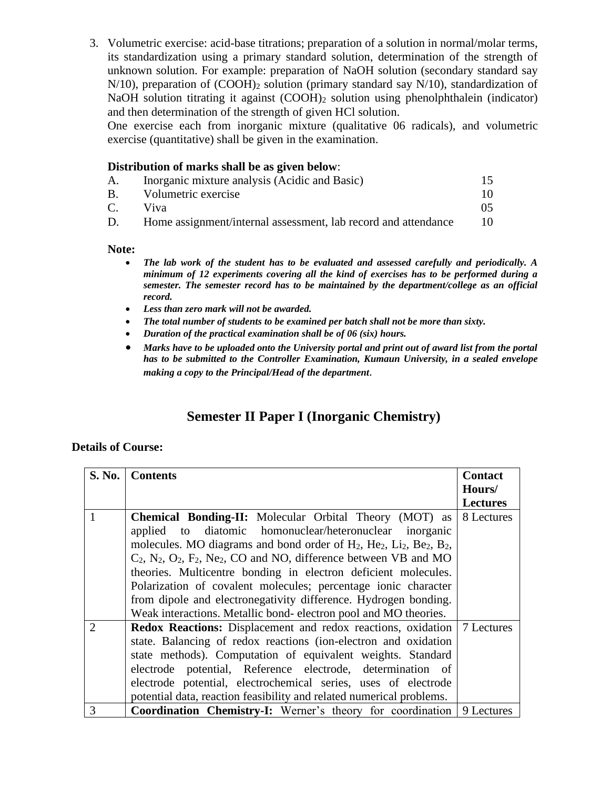3. Volumetric exercise: acid-base titrations; preparation of a solution in normal/molar terms, its standardization using a primary standard solution, determination of the strength of unknown solution. For example: preparation of NaOH solution (secondary standard say  $N/10$ ), preparation of  $(COOH)_2$  solution (primary standard say  $N/10$ ), standardization of NaOH solution titrating it against (COOH)<sub>2</sub> solution using phenolphthalein (indicator) and then determination of the strength of given HCl solution.

One exercise each from inorganic mixture (qualitative 06 radicals), and volumetric exercise (quantitative) shall be given in the examination.

#### **Distribution of marks shall be as given below**:

| A.            | Inorganic mixture analysis (Acidic and Basic)                  | 15. |
|---------------|----------------------------------------------------------------|-----|
| <b>B.</b>     | Volumetric exercise                                            | 10  |
| $\mathcal{C}$ | Viva                                                           | 05. |
| D.            | Home assignment/internal assessment, lab record and attendance |     |

#### **Note:**

- *The lab work of the student has to be evaluated and assessed carefully and periodically. A minimum of 12 experiments covering all the kind of exercises has to be performed during a semester. The semester record has to be maintained by the department/college as an official record.*
- *Less than zero mark will not be awarded.*
- *The total number of students to be examined per batch shall not be more than sixty.*
- *Duration of the practical examination shall be of 06 (six) hours.*
- *Marks have to be uploaded onto the University portal and print out of award list from the portal has to be submitted to the Controller Examination, Kumaun University, in a sealed envelope making a copy to the Principal/Head of the department*.

## **Semester II Paper I (Inorganic Chemistry)**

| S. No.         | <b>Contents</b>                                                                                                                                                                                                                                                                                                                                                                                                                           | <b>Contact</b>  |
|----------------|-------------------------------------------------------------------------------------------------------------------------------------------------------------------------------------------------------------------------------------------------------------------------------------------------------------------------------------------------------------------------------------------------------------------------------------------|-----------------|
|                |                                                                                                                                                                                                                                                                                                                                                                                                                                           | Hours/          |
|                |                                                                                                                                                                                                                                                                                                                                                                                                                                           | <b>Lectures</b> |
|                | <b>Chemical Bonding-II:</b> Molecular Orbital Theory (MOT) as<br>applied to diatomic homonuclear/heteronuclear inorganic<br>molecules. MO diagrams and bond order of $H_2$ , $He_2$ , $Li_2$ , $Be_2$ , $B_2$ ,<br>$C_2$ , $N_2$ , $O_2$ , $F_2$ , $Ne_2$ , $CO$ and NO, difference between VB and MO<br>theories. Multicentre bonding in electron deficient molecules.<br>Polarization of covalent molecules; percentage ionic character | 8 Lectures      |
|                | from dipole and electronegativity difference. Hydrogen bonding.                                                                                                                                                                                                                                                                                                                                                                           |                 |
|                | Weak interactions. Metallic bond-electron pool and MO theories.                                                                                                                                                                                                                                                                                                                                                                           |                 |
| $\overline{2}$ | <b>Redox Reactions:</b> Displacement and redox reactions, oxidation 7 Lectures<br>state. Balancing of redox reactions (ion-electron and oxidation<br>state methods). Computation of equivalent weights. Standard<br>electrode potential, Reference electrode, determination of<br>electrode potential, electrochemical series, uses of electrode<br>potential data, reaction feasibility and related numerical problems.                  |                 |
| 3              | <b>Coordination Chemistry-I:</b> Werner's theory for coordination 9 Lectures                                                                                                                                                                                                                                                                                                                                                              |                 |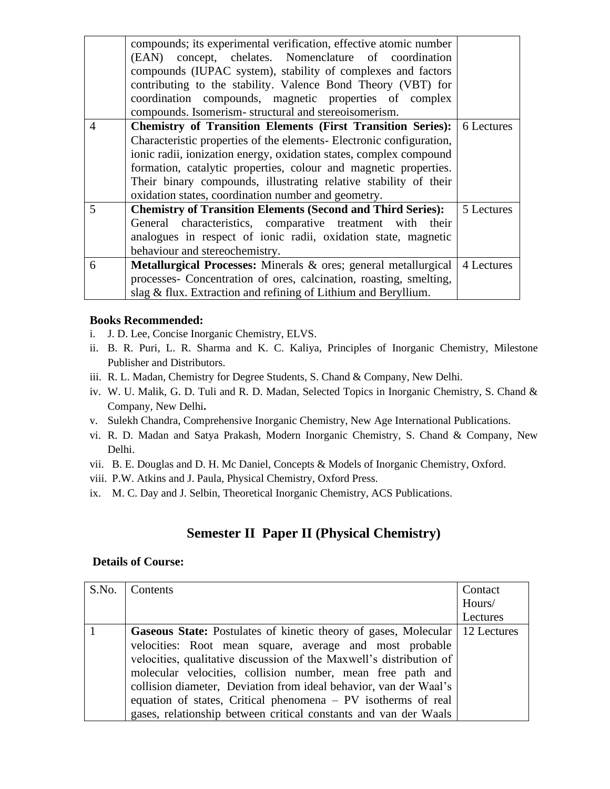|                | compounds; its experimental verification, effective atomic number<br>(EAN) concept, chelates. Nomenclature of coordination<br>compounds (IUPAC system), stability of complexes and factors<br>contributing to the stability. Valence Bond Theory (VBT) for<br>coordination compounds, magnetic properties of complex<br>compounds. Isomerism-structural and stereoisomerism.                                    |            |
|----------------|-----------------------------------------------------------------------------------------------------------------------------------------------------------------------------------------------------------------------------------------------------------------------------------------------------------------------------------------------------------------------------------------------------------------|------------|
| $\overline{4}$ | <b>Chemistry of Transition Elements (First Transition Series):</b><br>Characteristic properties of the elements- Electronic configuration,<br>ionic radii, ionization energy, oxidation states, complex compound<br>formation, catalytic properties, colour and magnetic properties.<br>Their binary compounds, illustrating relative stability of their<br>oxidation states, coordination number and geometry. | 6 Lectures |
| 5              | <b>Chemistry of Transition Elements (Second and Third Series):</b><br>General characteristics, comparative treatment with their<br>analogues in respect of ionic radii, oxidation state, magnetic<br>behaviour and stereochemistry.                                                                                                                                                                             | 5 Lectures |
| 6              | Metallurgical Processes: Minerals & ores; general metallurgical<br>processes- Concentration of ores, calcination, roasting, smelting,<br>slag & flux. Extraction and refining of Lithium and Beryllium.                                                                                                                                                                                                         | 4 Lectures |

- i. J. D. Lee, Concise Inorganic Chemistry, ELVS.
- ii. B. R. Puri, L. R. Sharma and K. C. Kaliya, Principles of Inorganic Chemistry, Milestone Publisher and Distributors.
- iii. R. L. Madan, Chemistry for Degree Students, S. Chand & Company, New Delhi.
- iv. W. U. Malik, G. D. Tuli and R. D. Madan, Selected Topics in Inorganic Chemistry, S. Chand & Company, New Delhi**.**
- v. Sulekh Chandra, Comprehensive Inorganic Chemistry, New Age International Publications.
- vi. R. D. Madan and Satya Prakash, Modern Inorganic Chemistry, S. Chand & Company, New Delhi.
- vii. B. E. Douglas and D. H. Mc Daniel, Concepts & Models of Inorganic Chemistry, Oxford.
- viii. P.W. Atkins and J. Paula, Physical Chemistry, Oxford Press.
- ix. M. C. Day and J. Selbin, Theoretical Inorganic Chemistry, ACS Publications.

# **Semester II Paper II (Physical Chemistry)**

| S.No. | Contents                                                                                                                                                                                                                                                                                                                                                                                                                                                                                         | Contact<br>Hours/ |
|-------|--------------------------------------------------------------------------------------------------------------------------------------------------------------------------------------------------------------------------------------------------------------------------------------------------------------------------------------------------------------------------------------------------------------------------------------------------------------------------------------------------|-------------------|
|       |                                                                                                                                                                                                                                                                                                                                                                                                                                                                                                  | Lectures          |
|       | <b>Gaseous State:</b> Postulates of kinetic theory of gases, Molecular   12 Lectures<br>velocities: Root mean square, average and most probable<br>velocities, qualitative discussion of the Maxwell's distribution of<br>molecular velocities, collision number, mean free path and<br>collision diameter, Deviation from ideal behavior, van der Waal's<br>equation of states, Critical phenomena $- PV$ isotherms of real<br>gases, relationship between critical constants and van der Waals |                   |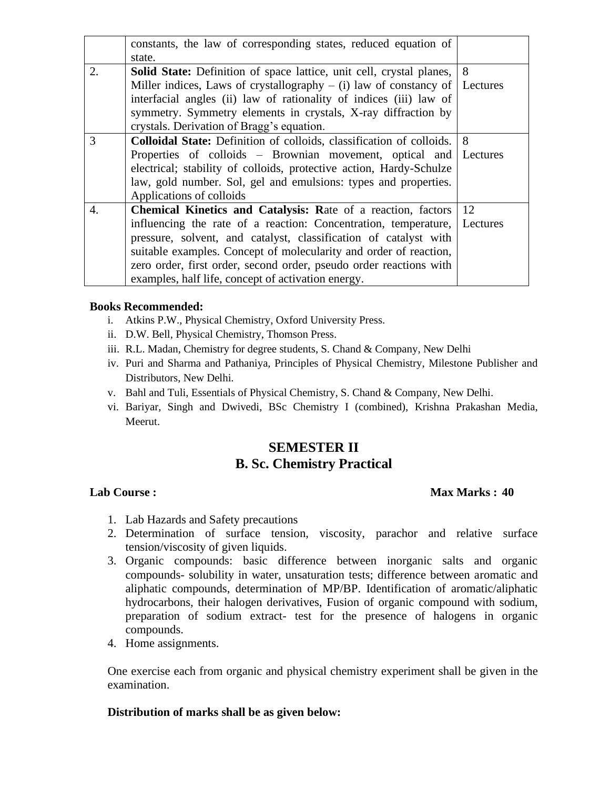|    | constants, the law of corresponding states, reduced equation of             |          |
|----|-----------------------------------------------------------------------------|----------|
|    | state.                                                                      |          |
| 2. | <b>Solid State:</b> Definition of space lattice, unit cell, crystal planes, | 8        |
|    | Miller indices, Laws of crystallography $-$ (i) law of constancy of         | Lectures |
|    | interfacial angles (ii) law of rationality of indices (iii) law of          |          |
|    | symmetry. Symmetry elements in crystals, X-ray diffraction by               |          |
|    | crystals. Derivation of Bragg's equation.                                   |          |
| 3  | Colloidal State: Definition of colloids, classification of colloids.        | 8        |
|    | Properties of colloids – Brownian movement, optical and                     | Lectures |
|    | electrical; stability of colloids, protective action, Hardy-Schulze         |          |
|    | law, gold number. Sol, gel and emulsions: types and properties.             |          |
|    | Applications of colloids                                                    |          |
| 4. | <b>Chemical Kinetics and Catalysis: Rate of a reaction, factors</b>         | 12       |
|    | influencing the rate of a reaction: Concentration, temperature,             | Lectures |
|    | pressure, solvent, and catalyst, classification of catalyst with            |          |
|    | suitable examples. Concept of molecularity and order of reaction,           |          |
|    | zero order, first order, second order, pseudo order reactions with          |          |
|    | examples, half life, concept of activation energy.                          |          |

- i. Atkins P.W., Physical Chemistry, Oxford University Press.
- ii. D.W. Bell, Physical Chemistry, Thomson Press.
- iii. R.L. Madan, Chemistry for degree students, S. Chand & Company, New Delhi
- iv. Puri and Sharma and Pathaniya, Principles of Physical Chemistry, Milestone Publisher and Distributors, New Delhi.
- v. Bahl and Tuli, Essentials of Physical Chemistry, S. Chand & Company, New Delhi.
- vi. Bariyar, Singh and Dwivedi, BSc Chemistry I (combined), Krishna Prakashan Media, Meerut.

## **SEMESTER II B. Sc. Chemistry Practical**

### **Lab Course : Max Marks : 40**

- 1. Lab Hazards and Safety precautions
- 2. Determination of surface tension, viscosity, parachor and relative surface tension/viscosity of given liquids.
- 3. Organic compounds: basic difference between inorganic salts and organic compounds- solubility in water, unsaturation tests; difference between aromatic and aliphatic compounds, determination of MP/BP. Identification of aromatic/aliphatic hydrocarbons, their halogen derivatives, Fusion of organic compound with sodium, preparation of sodium extract- test for the presence of halogens in organic compounds.
- 4. Home assignments.

One exercise each from organic and physical chemistry experiment shall be given in the examination.

### **Distribution of marks shall be as given below:**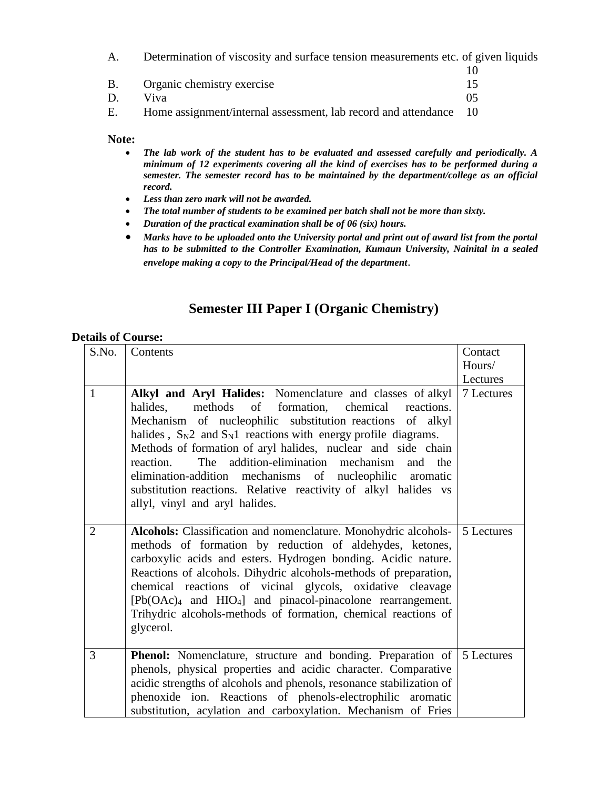A. Determination of viscosity and surface tension measurements etc. of given liquids

| В. | Organic chemistry exercise |  |
|----|----------------------------|--|
| D. | Viva                       |  |

E. Home assignment/internal assessment, lab record and attendance 10

**Note:** 

- *The lab work of the student has to be evaluated and assessed carefully and periodically. A minimum of 12 experiments covering all the kind of exercises has to be performed during a semester. The semester record has to be maintained by the department/college as an official record.*
- *Less than zero mark will not be awarded.*
- *The total number of students to be examined per batch shall not be more than sixty.*
- *Duration of the practical examination shall be of 06 (six) hours.*
- *Marks have to be uploaded onto the University portal and print out of award list from the portal has to be submitted to the Controller Examination, Kumaun University, Nainital in a sealed envelope making a copy to the Principal/Head of the department*.

# **Semester III Paper I (Organic Chemistry)**

| S.No.          | Contents                                                                                                                                                                                                                                                                                                                                                                                                                                                                                                                                                      | Contact            |
|----------------|---------------------------------------------------------------------------------------------------------------------------------------------------------------------------------------------------------------------------------------------------------------------------------------------------------------------------------------------------------------------------------------------------------------------------------------------------------------------------------------------------------------------------------------------------------------|--------------------|
|                |                                                                                                                                                                                                                                                                                                                                                                                                                                                                                                                                                               | Hours/<br>Lectures |
| $\mathbf{1}$   | Alkyl and Aryl Halides: Nomenclature and classes of alkyl<br>halides.<br>methods of formation, chemical<br>reactions.<br>Mechanism of nucleophilic substitution reactions of alkyl<br>halides, $S_N2$ and $S_N1$ reactions with energy profile diagrams.<br>Methods of formation of aryl halides, nuclear and side chain<br>addition-elimination mechanism<br>reaction.<br>The<br>and<br>the<br>elimination-addition mechanisms of nucleophilic aromatic<br>substitution reactions. Relative reactivity of alkyl halides vs<br>allyl, vinyl and aryl halides. | 7 Lectures         |
| $\overline{2}$ | Alcohols: Classification and nomenclature. Monohydric alcohols-<br>methods of formation by reduction of aldehydes, ketones,<br>carboxylic acids and esters. Hydrogen bonding. Acidic nature.<br>Reactions of alcohols. Dihydric alcohols-methods of preparation,<br>chemical reactions of vicinal glycols, oxidative cleavage<br>[Pb(OAc)4 and HIO4] and pinacol-pinacolone rearrangement.<br>Trihydric alcohols-methods of formation, chemical reactions of<br>glycerol.                                                                                     | 5 Lectures         |
| 3              | <b>Phenol:</b> Nomenclature, structure and bonding. Preparation of<br>phenols, physical properties and acidic character. Comparative<br>acidic strengths of alcohols and phenols, resonance stabilization of<br>phenoxide ion. Reactions of phenols-electrophilic aromatic<br>substitution, acylation and carboxylation. Mechanism of Fries                                                                                                                                                                                                                   | 5 Lectures         |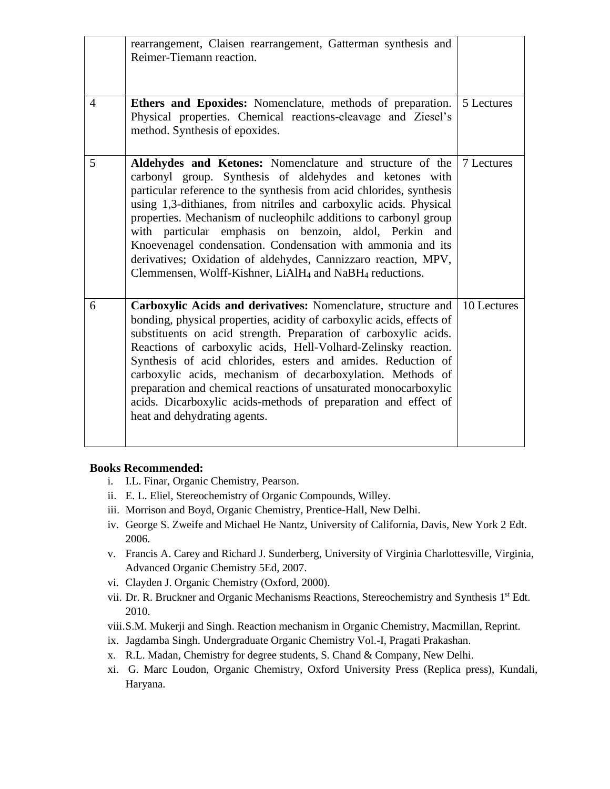|                | rearrangement, Claisen rearrangement, Gatterman synthesis and<br>Reimer-Tiemann reaction.                                                                                                                                                                                                                                                                                                                                                                                                                                                                                                                          |             |
|----------------|--------------------------------------------------------------------------------------------------------------------------------------------------------------------------------------------------------------------------------------------------------------------------------------------------------------------------------------------------------------------------------------------------------------------------------------------------------------------------------------------------------------------------------------------------------------------------------------------------------------------|-------------|
| $\overline{4}$ | Ethers and Epoxides: Nomenclature, methods of preparation.<br>Physical properties. Chemical reactions-cleavage and Ziesel's<br>method. Synthesis of epoxides.                                                                                                                                                                                                                                                                                                                                                                                                                                                      | 5 Lectures  |
| 5              | Aldehydes and Ketones: Nomenclature and structure of the<br>carbonyl group. Synthesis of aldehydes and ketones with<br>particular reference to the synthesis from acid chlorides, synthesis<br>using 1,3-dithianes, from nitriles and carboxylic acids. Physical<br>properties. Mechanism of nucleophilc additions to carbonyl group<br>with particular emphasis on benzoin, aldol, Perkin and<br>Knoevenagel condensation. Condensation with ammonia and its<br>derivatives; Oxidation of aldehydes, Cannizzaro reaction, MPV,<br>Clemmensen, Wolff-Kishner, LiAlH <sub>4</sub> and NaBH <sub>4</sub> reductions. | 7 Lectures  |
| 6              | Carboxylic Acids and derivatives: Nomenclature, structure and<br>bonding, physical properties, acidity of carboxylic acids, effects of<br>substituents on acid strength. Preparation of carboxylic acids.<br>Reactions of carboxylic acids, Hell-Volhard-Zelinsky reaction.<br>Synthesis of acid chlorides, esters and amides. Reduction of<br>carboxylic acids, mechanism of decarboxylation. Methods of<br>preparation and chemical reactions of unsaturated monocarboxylic<br>acids. Dicarboxylic acids-methods of preparation and effect of<br>heat and dehydrating agents.                                    | 10 Lectures |

- i. I.L. Finar, Organic Chemistry, Pearson.
- ii. E. L. Eliel, Stereochemistry of Organic Compounds, Willey.
- iii. Morrison and Boyd, Organic Chemistry, Prentice-Hall, New Delhi.
- iv. George S. Zweife and Michael He Nantz, University of California, Davis, New York 2 Edt. 2006.
- v. Francis A. Carey and Richard J. Sunderberg, University of Virginia Charlottesville, Virginia, Advanced Organic Chemistry 5Ed, 2007.
- vi. Clayden J. Organic Chemistry (Oxford, 2000).
- vii. Dr. R. Bruckner and Organic Mechanisms Reactions, Stereochemistry and Synthesis 1<sup>st</sup> Edt. 2010.
- viii.S.M. Mukerji and Singh. Reaction mechanism in Organic Chemistry, Macmillan, Reprint.
- ix. Jagdamba Singh. Undergraduate Organic Chemistry Vol.-I, Pragati Prakashan.
- x. R.L. Madan, Chemistry for degree students, S. Chand & Company, New Delhi.
- xi. G. Marc Loudon, Organic Chemistry, Oxford University Press (Replica press), Kundali, Haryana.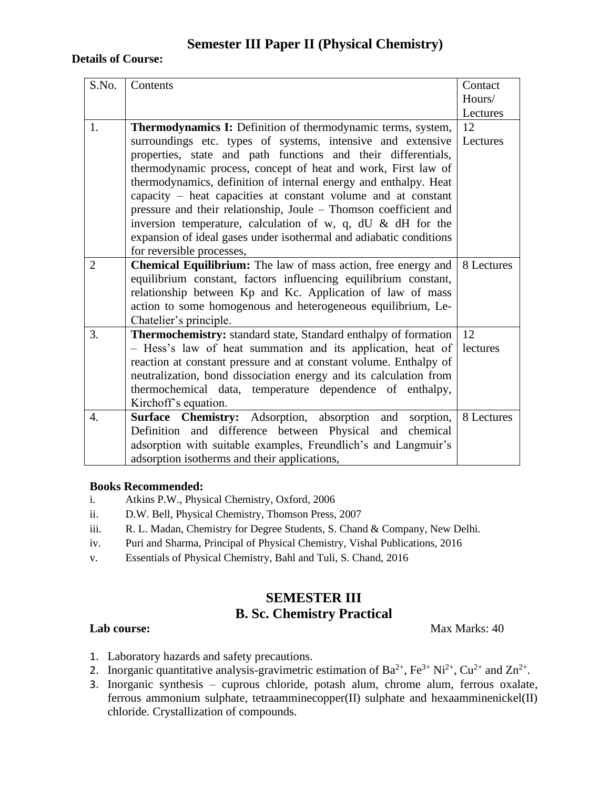## **Semester III Paper II (Physical Chemistry)**

#### **Details of Course:**

| S.No.          | Contents                                                                                                                               | Contact    |
|----------------|----------------------------------------------------------------------------------------------------------------------------------------|------------|
|                |                                                                                                                                        | Hours/     |
|                |                                                                                                                                        | Lectures   |
| 1.             | <b>Thermodynamics I:</b> Definition of thermodynamic terms, system,                                                                    | 12         |
|                | surroundings etc. types of systems, intensive and extensive                                                                            | Lectures   |
|                | properties, state and path functions and their differentials,                                                                          |            |
|                | thermodynamic process, concept of heat and work, First law of                                                                          |            |
|                | thermodynamics, definition of internal energy and enthalpy. Heat                                                                       |            |
|                | capacity $-$ heat capacities at constant volume and at constant                                                                        |            |
|                | pressure and their relationship, Joule - Thomson coefficient and                                                                       |            |
|                | inversion temperature, calculation of w, q, dU $\&$ dH for the                                                                         |            |
|                | expansion of ideal gases under isothermal and adiabatic conditions                                                                     |            |
|                | for reversible processes,                                                                                                              |            |
| $\overline{2}$ | Chemical Equilibrium: The law of mass action, free energy and                                                                          | 8 Lectures |
|                | equilibrium constant, factors influencing equilibrium constant,                                                                        |            |
|                | relationship between Kp and Kc. Application of law of mass                                                                             |            |
|                | action to some homogenous and heterogeneous equilibrium, Le-                                                                           |            |
|                | Chatelier's principle.                                                                                                                 |            |
| 3.             | <b>Thermochemistry:</b> standard state, Standard enthalpy of formation                                                                 | 12         |
|                | - Hess's law of heat summation and its application, heat of                                                                            | lectures   |
|                | reaction at constant pressure and at constant volume. Enthalpy of<br>neutralization, bond dissociation energy and its calculation from |            |
|                | thermochemical data, temperature dependence of enthalpy,                                                                               |            |
|                | Kirchoff's equation.                                                                                                                   |            |
| 4.             | Surface Chemistry: Adsorption, absorption and<br>sorption,                                                                             | 8 Lectures |
|                | Definition and difference between Physical and<br>chemical                                                                             |            |
|                | adsorption with suitable examples, Freundlich's and Langmuir's                                                                         |            |
|                | adsorption isotherms and their applications,                                                                                           |            |
|                |                                                                                                                                        |            |

#### **Books Recommended:**

- i. Atkins P.W., Physical Chemistry, Oxford, 2006
- ii. D.W. Bell, Physical Chemistry, Thomson Press, 2007
- iii. R. L. Madan, Chemistry for Degree Students, S. Chand & Company, New Delhi.
- iv. Puri and Sharma, Principal of Physical Chemistry, Vishal Publications, 2016
- v. Essentials of Physical Chemistry, Bahl and Tuli, S. Chand, 2016

## **SEMESTER III B. Sc. Chemistry Practical**

**Lab course:** Max Marks: 40

- 1. Laboratory hazards and safety precautions.
- 2. Inorganic quantitative analysis-gravimetric estimation of  $Ba^{2+}$ ,  $Fe^{3+} Ni^{2+}$ ,  $Cu^{2+}$  and  $Zn^{2+}$ .
- 3. Inorganic synthesis cuprous chloride, potash alum, chrome alum, ferrous oxalate, ferrous ammonium sulphate, tetraamminecopper(II) sulphate and hexaamminenickel(II) chloride. Crystallization of compounds.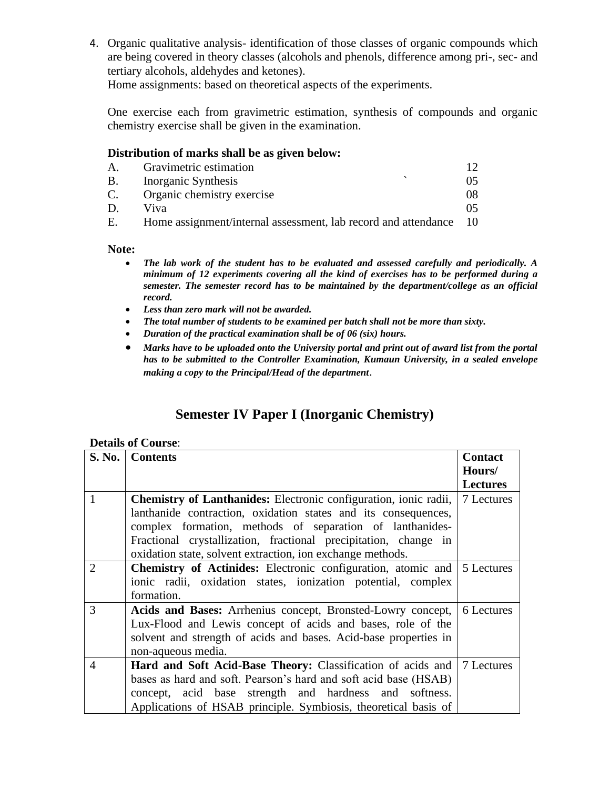4. Organic qualitative analysis- identification of those classes of organic compounds which are being covered in theory classes (alcohols and phenols, difference among pri-, sec- and tertiary alcohols, aldehydes and ketones).

Home assignments: based on theoretical aspects of the experiments.

One exercise each from gravimetric estimation, synthesis of compounds and organic chemistry exercise shall be given in the examination.

## **Distribution of marks shall be as given below:**

| A.        | Gravimetric estimation                                         |     |
|-----------|----------------------------------------------------------------|-----|
| <b>B.</b> | Inorganic Synthesis                                            | 05  |
| C.        | Organic chemistry exercise                                     | 08  |
|           | Viva                                                           |     |
| Е.        | Home assignment/internal assessment, lab record and attendance | -10 |

#### **Note:**

- *The lab work of the student has to be evaluated and assessed carefully and periodically. A minimum of 12 experiments covering all the kind of exercises has to be performed during a semester. The semester record has to be maintained by the department/college as an official record.*
- *Less than zero mark will not be awarded.*
- *The total number of students to be examined per batch shall not be more than sixty.*
- *Duration of the practical examination shall be of 06 (six) hours.*
- *Marks have to be uploaded onto the University portal and print out of award list from the portal has to be submitted to the Controller Examination, Kumaun University, in a sealed envelope making a copy to the Principal/Head of the department*.

# **Semester IV Paper I (Inorganic Chemistry)**

| <b>S. No.</b>  | <b>Contents</b>                                                                | <b>Contact</b>  |
|----------------|--------------------------------------------------------------------------------|-----------------|
|                |                                                                                | Hours/          |
|                |                                                                                | <b>Lectures</b> |
| $\mathbf{1}$   | <b>Chemistry of Lanthanides:</b> Electronic configuration, ionic radii,        | 7 Lectures      |
|                | lanthanide contraction, oxidation states and its consequences,                 |                 |
|                | complex formation, methods of separation of lanthanides-                       |                 |
|                | Fractional crystallization, fractional precipitation, change in                |                 |
|                | oxidation state, solvent extraction, ion exchange methods.                     |                 |
| $\overline{2}$ | <b>Chemistry of Actinides:</b> Electronic configuration, atomic and 5 Lectures |                 |
|                | ionic radii, oxidation states, ionization potential, complex                   |                 |
|                | formation.                                                                     |                 |
| 3              | Acids and Bases: Arrhenius concept, Bronsted-Lowry concept,                    | 6 Lectures      |
|                | Lux-Flood and Lewis concept of acids and bases, role of the                    |                 |
|                | solvent and strength of acids and bases. Acid-base properties in               |                 |
|                | non-aqueous media.                                                             |                 |
| $\overline{4}$ | Hard and Soft Acid-Base Theory: Classification of acids and                    | 7 Lectures      |
|                | bases as hard and soft. Pearson's hard and soft acid base (HSAB)               |                 |
|                | concept, acid base strength and hardness and softness.                         |                 |
|                | Applications of HSAB principle. Symbiosis, theoretical basis of                |                 |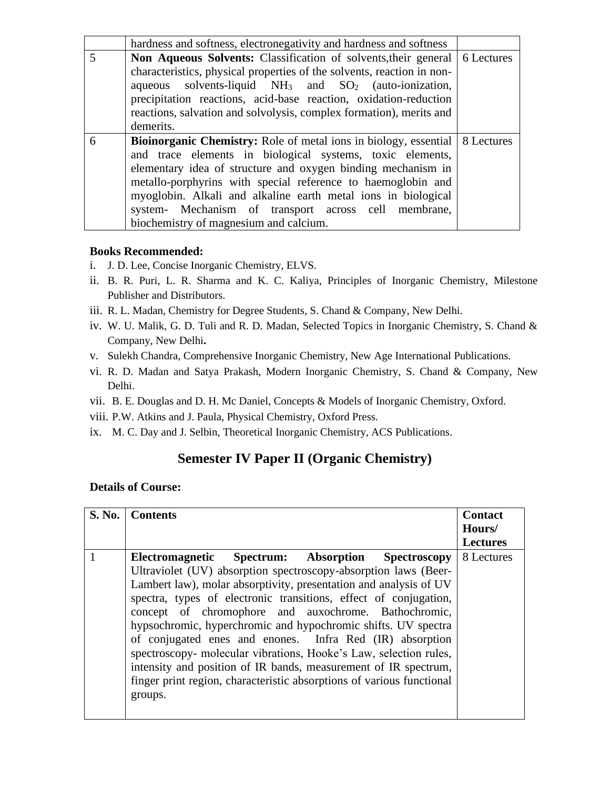|   | hardness and softness, electronegativity and hardness and softness                 |  |
|---|------------------------------------------------------------------------------------|--|
| 5 | <b>Non Aqueous Solvents:</b> Classification of solvents, their general 6 Lectures  |  |
|   | characteristics, physical properties of the solvents, reaction in non-             |  |
|   | aqueous solvents-liquid $NH_3$ and $SO_2$ (auto-ionization,                        |  |
|   | precipitation reactions, acid-base reaction, oxidation-reduction                   |  |
|   | reactions, salvation and solvolysis, complex formation), merits and                |  |
|   | demerits.                                                                          |  |
| 6 | <b>Bioinorganic Chemistry:</b> Role of metal ions in biology, essential 8 Lectures |  |
|   | and trace elements in biological systems, toxic elements,                          |  |
|   | elementary idea of structure and oxygen binding mechanism in                       |  |
|   | metallo-porphyrins with special reference to haemoglobin and                       |  |
|   | myoglobin. Alkali and alkaline earth metal ions in biological                      |  |
|   | system- Mechanism of transport across cell membrane,                               |  |
|   | biochemistry of magnesium and calcium.                                             |  |

- i. J. D. Lee, Concise Inorganic Chemistry, ELVS.
- ii. B. R. Puri, L. R. Sharma and K. C. Kaliya, Principles of Inorganic Chemistry, Milestone Publisher and Distributors.
- iii. R. L. Madan, Chemistry for Degree Students, S. Chand & Company, New Delhi.
- iv. W. U. Malik, G. D. Tuli and R. D. Madan, Selected Topics in Inorganic Chemistry, S. Chand & Company, New Delhi**.**
- v. Sulekh Chandra, Comprehensive Inorganic Chemistry, New Age International Publications.
- vi. R. D. Madan and Satya Prakash, Modern Inorganic Chemistry, S. Chand & Company, New Delhi.
- vii. B. E. Douglas and D. H. Mc Daniel, Concepts & Models of Inorganic Chemistry, Oxford.
- viii. P.W. Atkins and J. Paula, Physical Chemistry, Oxford Press.
- ix. M. C. Day and J. Selbin, Theoretical Inorganic Chemistry, ACS Publications.

# **Semester IV Paper II (Organic Chemistry)**

| <b>S. No.</b> | <b>Contents</b>                                                                                                                                                                                                                                                                                                                                                                                                                                                                                                                                                                                                                                                                | <b>Contact</b><br>Hours/<br><b>Lectures</b> |
|---------------|--------------------------------------------------------------------------------------------------------------------------------------------------------------------------------------------------------------------------------------------------------------------------------------------------------------------------------------------------------------------------------------------------------------------------------------------------------------------------------------------------------------------------------------------------------------------------------------------------------------------------------------------------------------------------------|---------------------------------------------|
|               | Electromagnetic Spectrum: Absorption Spectroscopy<br>Ultraviolet (UV) absorption spectroscopy-absorption laws (Beer-<br>Lambert law), molar absorptivity, presentation and analysis of UV<br>spectra, types of electronic transitions, effect of conjugation,<br>concept of chromophore and auxochrome. Bathochromic,<br>hypsochromic, hyperchromic and hypochromic shifts. UV spectra<br>of conjugated enes and enones. Infra Red (IR) absorption<br>spectroscopy- molecular vibrations, Hooke's Law, selection rules,<br>intensity and position of IR bands, measurement of IR spectrum,<br>finger print region, characteristic absorptions of various functional<br>groups. | 8 Lectures                                  |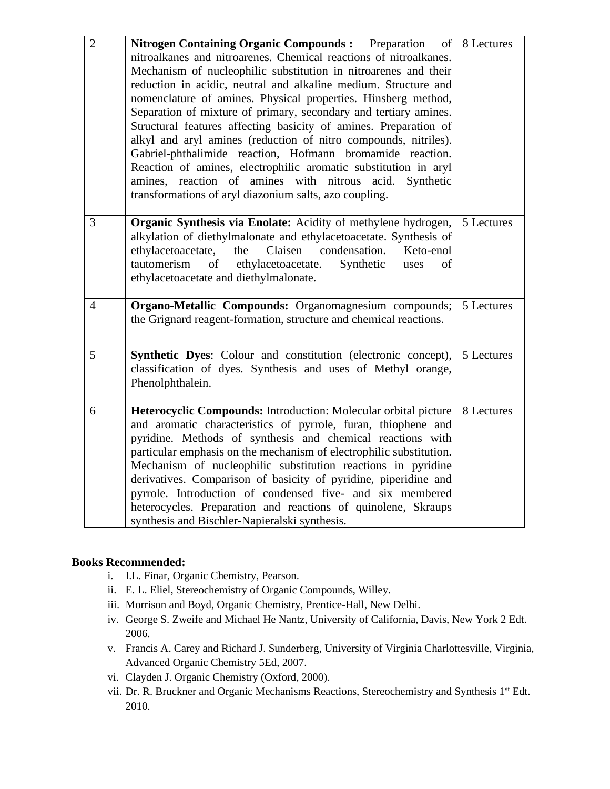| $\overline{2}$  | <b>Nitrogen Containing Organic Compounds:</b> Preparation<br>of<br>nitroalkanes and nitroarenes. Chemical reactions of nitroalkanes.<br>Mechanism of nucleophilic substitution in nitroarenes and their<br>reduction in acidic, neutral and alkaline medium. Structure and<br>nomenclature of amines. Physical properties. Hinsberg method,<br>Separation of mixture of primary, secondary and tertiary amines.<br>Structural features affecting basicity of amines. Preparation of<br>alkyl and aryl amines (reduction of nitro compounds, nitriles).<br>Gabriel-phthalimide reaction, Hofmann bromamide reaction.<br>Reaction of amines, electrophilic aromatic substitution in aryl<br>reaction of amines with<br>nitrous<br>amines.<br>acid.<br>Synthetic<br>transformations of aryl diazonium salts, azo coupling. | 8 Lectures |
|-----------------|-------------------------------------------------------------------------------------------------------------------------------------------------------------------------------------------------------------------------------------------------------------------------------------------------------------------------------------------------------------------------------------------------------------------------------------------------------------------------------------------------------------------------------------------------------------------------------------------------------------------------------------------------------------------------------------------------------------------------------------------------------------------------------------------------------------------------|------------|
| 3               | Organic Synthesis via Enolate: Acidity of methylene hydrogen,<br>alkylation of diethylmalonate and ethylacetoacetate. Synthesis of<br>Claisen<br>condensation.<br>ethylacetoacetate,<br>the<br>Keto-enol<br>tautomerism<br>of<br>ethylacetoacetate.<br>Synthetic<br>of<br>uses<br>ethylacetoacetate and diethylmalonate.                                                                                                                                                                                                                                                                                                                                                                                                                                                                                                | 5 Lectures |
| $\overline{4}$  | Organo-Metallic Compounds: Organomagnesium compounds;<br>the Grignard reagent-formation, structure and chemical reactions.                                                                                                                                                                                                                                                                                                                                                                                                                                                                                                                                                                                                                                                                                              | 5 Lectures |
| $5\overline{)}$ | Synthetic Dyes: Colour and constitution (electronic concept),<br>classification of dyes. Synthesis and uses of Methyl orange,<br>Phenolphthalein.                                                                                                                                                                                                                                                                                                                                                                                                                                                                                                                                                                                                                                                                       | 5 Lectures |
| 6               | Heterocyclic Compounds: Introduction: Molecular orbital picture<br>and aromatic characteristics of pyrrole, furan, thiophene and<br>pyridine. Methods of synthesis and chemical reactions with<br>particular emphasis on the mechanism of electrophilic substitution.<br>Mechanism of nucleophilic substitution reactions in pyridine<br>derivatives. Comparison of basicity of pyridine, piperidine and<br>pyrrole. Introduction of condensed five- and six membered<br>heterocycles. Preparation and reactions of quinolene, Skraups<br>synthesis and Bischler-Napieralski synthesis.                                                                                                                                                                                                                                 | 8 Lectures |

- i. I.L. Finar, Organic Chemistry, Pearson.
- ii. E. L. Eliel, Stereochemistry of Organic Compounds, Willey.
- iii. Morrison and Boyd, Organic Chemistry, Prentice-Hall, New Delhi.
- iv. George S. Zweife and Michael He Nantz, University of California, Davis, New York 2 Edt. 2006.
- v. Francis A. Carey and Richard J. Sunderberg, University of Virginia Charlottesville, Virginia, Advanced Organic Chemistry 5Ed, 2007.
- vi. Clayden J. Organic Chemistry (Oxford, 2000).
- vii. Dr. R. Bruckner and Organic Mechanisms Reactions, Stereochemistry and Synthesis 1<sup>st</sup> Edt. 2010.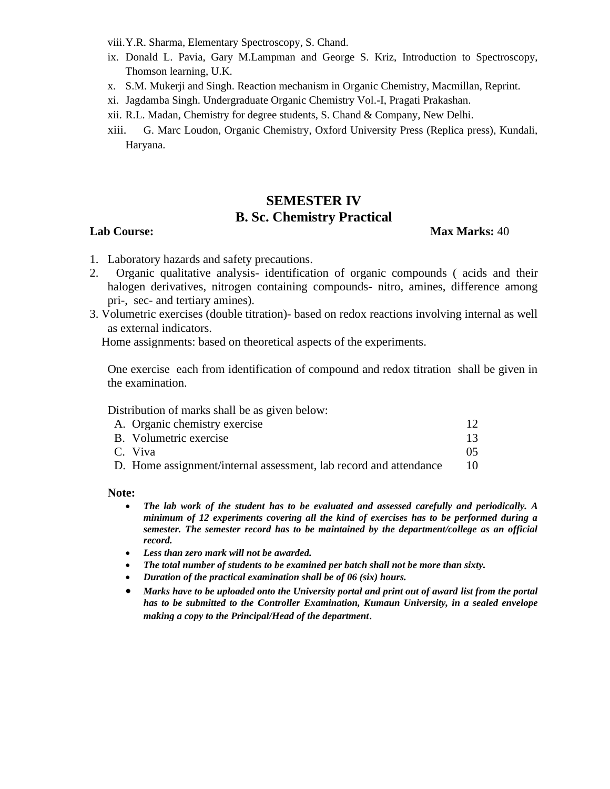viii.Y.R. Sharma, Elementary Spectroscopy, S. Chand.

- ix. Donald L. Pavia, Gary M.Lampman and George S. Kriz, Introduction to Spectroscopy, Thomson learning, U.K.
- x. S.M. Mukerji and Singh. Reaction mechanism in Organic Chemistry, Macmillan, Reprint.
- xi. Jagdamba Singh. Undergraduate Organic Chemistry Vol.-I, Pragati Prakashan.
- xii. R.L. Madan, Chemistry for degree students, S. Chand & Company, New Delhi.
- xiii. G. Marc Loudon, Organic Chemistry, Oxford University Press (Replica press), Kundali, Haryana.

## **SEMESTER IV B. Sc. Chemistry Practical**

#### **Lab Course: Max Marks:** 40

- 1. Laboratory hazards and safety precautions.
- 2. Organic qualitative analysis- identification of organic compounds ( acids and their halogen derivatives, nitrogen containing compounds- nitro, amines, difference among pri-, sec- and tertiary amines).
- 3. Volumetric exercises (double titration)- based on redox reactions involving internal as well as external indicators.

Home assignments: based on theoretical aspects of the experiments.

One exercise each from identification of compound and redox titration shall be given in the examination.

Distribution of marks shall be as given below:

| A. Organic chemistry exercise                                     | 12 |
|-------------------------------------------------------------------|----|
| B. Volumetric exercise                                            | 13 |
| C. Viva                                                           | 05 |
| D. Home assignment/internal assessment, lab record and attendance | 10 |
|                                                                   |    |

#### **Note:**

- *The lab work of the student has to be evaluated and assessed carefully and periodically. A minimum of 12 experiments covering all the kind of exercises has to be performed during a semester. The semester record has to be maintained by the department/college as an official record.*
- *Less than zero mark will not be awarded.*
- *The total number of students to be examined per batch shall not be more than sixty.*
- *Duration of the practical examination shall be of 06 (six) hours.*
- *Marks have to be uploaded onto the University portal and print out of award list from the portal has to be submitted to the Controller Examination, Kumaun University, in a sealed envelope making a copy to the Principal/Head of the department*.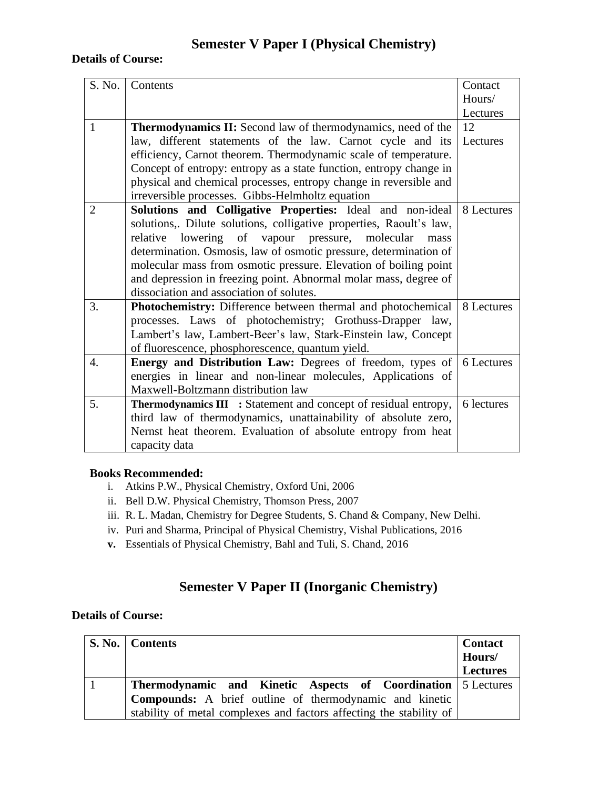# **Semester V Paper I (Physical Chemistry)**

#### **Details of Course:**

| S. No.           | Contents                                                                                                                  | Contact    |
|------------------|---------------------------------------------------------------------------------------------------------------------------|------------|
|                  |                                                                                                                           | Hours/     |
|                  |                                                                                                                           | Lectures   |
| $\mathbf{1}$     | <b>Thermodynamics II:</b> Second law of thermodynamics, need of the                                                       | 12         |
|                  | law, different statements of the law. Carnot cycle and its                                                                | Lectures   |
|                  | efficiency, Carnot theorem. Thermodynamic scale of temperature.                                                           |            |
|                  | Concept of entropy: entropy as a state function, entropy change in                                                        |            |
|                  | physical and chemical processes, entropy change in reversible and                                                         |            |
|                  | irreversible processes. Gibbs-Helmholtz equation                                                                          |            |
| $\overline{2}$   | Solutions and Colligative Properties: Ideal and non-ideal                                                                 | 8 Lectures |
|                  | solutions,. Dilute solutions, colligative properties, Raoult's law,                                                       |            |
|                  | relative lowering of vapour pressure,<br>molecular<br>mass                                                                |            |
|                  | determination. Osmosis, law of osmotic pressure, determination of                                                         |            |
|                  | molecular mass from osmotic pressure. Elevation of boiling point                                                          |            |
|                  | and depression in freezing point. Abnormal molar mass, degree of                                                          |            |
|                  | dissociation and association of solutes.                                                                                  |            |
| 3.               | Photochemistry: Difference between thermal and photochemical                                                              | 8 Lectures |
|                  | processes. Laws of photochemistry; Grothuss-Drapper law,                                                                  |            |
|                  | Lambert's law, Lambert-Beer's law, Stark-Einstein law, Concept                                                            |            |
| $\overline{4}$ . | of fluorescence, phosphorescence, quantum yield.                                                                          | 6 Lectures |
|                  | Energy and Distribution Law: Degrees of freedom, types of<br>energies in linear and non-linear molecules, Applications of |            |
|                  | Maxwell-Boltzmann distribution law                                                                                        |            |
| 5.               |                                                                                                                           | 6 lectures |
|                  | <b>Thermodynamics III</b> : Statement and concept of residual entropy,                                                    |            |
|                  | third law of thermodynamics, unattainability of absolute zero,                                                            |            |
|                  | Nernst heat theorem. Evaluation of absolute entropy from heat                                                             |            |
|                  | capacity data                                                                                                             |            |

#### **Books Recommended:**

- i. Atkins P.W., Physical Chemistry, Oxford Uni, 2006
- ii. Bell D.W. Physical Chemistry, Thomson Press, 2007
- iii. R. L. Madan, Chemistry for Degree Students, S. Chand & Company, New Delhi.
- iv. Puri and Sharma, Principal of Physical Chemistry, Vishal Publications, 2016
- **v.** Essentials of Physical Chemistry, Bahl and Tuli, S. Chand, 2016

# **Semester V Paper II (Inorganic Chemistry)**

| S. No.   Contents                                                   | <b>Contact</b><br>Hours/ |
|---------------------------------------------------------------------|--------------------------|
|                                                                     |                          |
|                                                                     | <b>Lectures</b>          |
| <b>Thermodynamic and Kinetic Aspects of Coordination</b> 5 Lectures |                          |
| Compounds: A brief outline of thermodynamic and kinetic             |                          |
| stability of metal complexes and factors affecting the stability of |                          |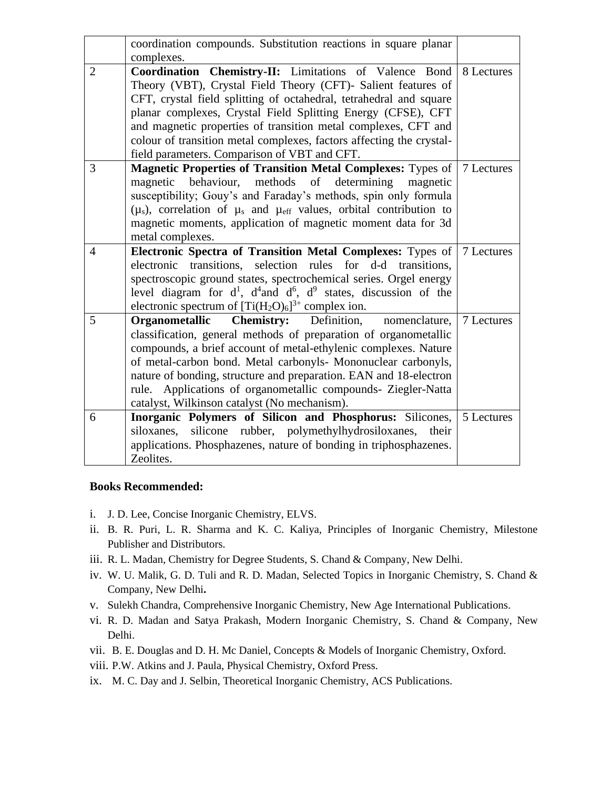|                | coordination compounds. Substitution reactions in square planar                                                                                                                                                                                                                                                                                                                                                                                                |            |
|----------------|----------------------------------------------------------------------------------------------------------------------------------------------------------------------------------------------------------------------------------------------------------------------------------------------------------------------------------------------------------------------------------------------------------------------------------------------------------------|------------|
|                | complexes.                                                                                                                                                                                                                                                                                                                                                                                                                                                     |            |
| $\overline{2}$ | Coordination Chemistry-II: Limitations of Valence Bond<br>Theory (VBT), Crystal Field Theory (CFT)- Salient features of<br>CFT, crystal field splitting of octahedral, tetrahedral and square<br>planar complexes, Crystal Field Splitting Energy (CFSE), CFT<br>and magnetic properties of transition metal complexes, CFT and<br>colour of transition metal complexes, factors affecting the crystal-<br>field parameters. Comparison of VBT and CFT.        | 8 Lectures |
| $\overline{3}$ | <b>Magnetic Properties of Transition Metal Complexes: Types of</b><br>magnetic behaviour, methods<br>of<br>determining<br>magnetic<br>susceptibility; Gouy's and Faraday's methods, spin only formula<br>$(\mu_s)$ , correlation of $\mu_s$ and $\mu_{\text{eff}}$ values, orbital contribution to<br>magnetic moments, application of magnetic moment data for 3d<br>metal complexes.                                                                         | 7 Lectures |
| $\overline{4}$ | Electronic Spectra of Transition Metal Complexes: Types of<br>electronic transitions, selection rules for d-d transitions,<br>spectroscopic ground states, spectrochemical series. Orgel energy<br>level diagram for $d^1$ , $d^4$ and $d^6$ , $d^9$ states, discussion of the<br>electronic spectrum of $[Ti(H_2O)_6]^{3+}$ complex ion.                                                                                                                      | 7 Lectures |
| 5              | Organometallic<br><b>Chemistry:</b> Definition,<br>nomenclature.<br>classification, general methods of preparation of organometallic<br>compounds, a brief account of metal-ethylenic complexes. Nature<br>of metal-carbon bond. Metal carbonyls- Mononuclear carbonyls,<br>nature of bonding, structure and preparation. EAN and 18-electron<br>rule. Applications of organometallic compounds- Ziegler-Natta<br>catalyst, Wilkinson catalyst (No mechanism). | 7 Lectures |
| 6              | Inorganic Polymers of Silicon and Phosphorus: Silicones,<br>siloxanes, silicone rubber, polymethylhydrosiloxanes,<br>their<br>applications. Phosphazenes, nature of bonding in triphosphazenes.<br>Zeolites.                                                                                                                                                                                                                                                   | 5 Lectures |

- i. J. D. Lee, Concise Inorganic Chemistry, ELVS.
- ii. B. R. Puri, L. R. Sharma and K. C. Kaliya, Principles of Inorganic Chemistry, Milestone Publisher and Distributors.
- iii. R. L. Madan, Chemistry for Degree Students, S. Chand & Company, New Delhi.
- iv. W. U. Malik, G. D. Tuli and R. D. Madan, Selected Topics in Inorganic Chemistry, S. Chand & Company, New Delhi**.**
- v. Sulekh Chandra, Comprehensive Inorganic Chemistry, New Age International Publications.
- vi. R. D. Madan and Satya Prakash, Modern Inorganic Chemistry, S. Chand & Company, New Delhi.
- vii. B. E. Douglas and D. H. Mc Daniel, Concepts & Models of Inorganic Chemistry, Oxford.
- viii. P.W. Atkins and J. Paula, Physical Chemistry, Oxford Press.
- ix. M. C. Day and J. Selbin, Theoretical Inorganic Chemistry, ACS Publications.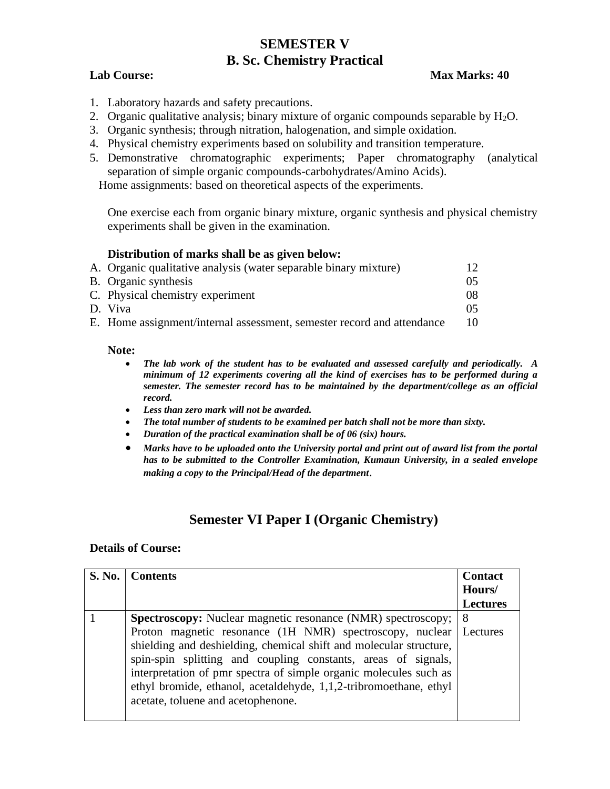## **SEMESTER V B. Sc. Chemistry Practical**

## **Lab Course: Max Marks: 40**

- 1. Laboratory hazards and safety precautions.
- 2. Organic qualitative analysis; binary mixture of organic compounds separable by  $H_2O$ .
- 3. Organic synthesis; through nitration, halogenation, and simple oxidation.
- 4. Physical chemistry experiments based on solubility and transition temperature.
- 5. Demonstrative chromatographic experiments; Paper chromatography (analytical separation of simple organic compounds-carbohydrates/Amino Acids).

Home assignments: based on theoretical aspects of the experiments.

One exercise each from organic binary mixture, organic synthesis and physical chemistry experiments shall be given in the examination.

### **Distribution of marks shall be as given below:**

| A. Organic qualitative analysis (water separable binary mixture)       | 12. |
|------------------------------------------------------------------------|-----|
| B. Organic synthesis                                                   | 05. |
| C. Physical chemistry experiment                                       | 08  |
| D. Viva                                                                | 05. |
| E. Home assignment/internal assessment, semester record and attendance |     |

#### **Note:**

- *The lab work of the student has to be evaluated and assessed carefully and periodically. A minimum of 12 experiments covering all the kind of exercises has to be performed during a semester. The semester record has to be maintained by the department/college as an official record.*
- *Less than zero mark will not be awarded.*
- *The total number of students to be examined per batch shall not be more than sixty.*
- *Duration of the practical examination shall be of 06 (six) hours.*
- *Marks have to be uploaded onto the University portal and print out of award list from the portal has to be submitted to the Controller Examination, Kumaun University, in a sealed envelope making a copy to the Principal/Head of the department*.

## **Semester VI Paper I (Organic Chemistry)**

| S. No.   Contents                                                                                                                                                                                                                                                                                                                                                                                                                                      | <b>Contact</b><br>Hours/ |
|--------------------------------------------------------------------------------------------------------------------------------------------------------------------------------------------------------------------------------------------------------------------------------------------------------------------------------------------------------------------------------------------------------------------------------------------------------|--------------------------|
|                                                                                                                                                                                                                                                                                                                                                                                                                                                        | <b>Lectures</b>          |
| <b>Spectroscopy:</b> Nuclear magnetic resonance (NMR) spectroscopy;<br>Proton magnetic resonance (1H NMR) spectroscopy, nuclear<br>shielding and deshielding, chemical shift and molecular structure,<br>spin-spin splitting and coupling constants, areas of signals,<br>interpretation of pmr spectra of simple organic molecules such as<br>ethyl bromide, ethanol, acetaldehyde, 1,1,2-tribromoethane, ethyl<br>acetate, toluene and acetophenone. | -8<br>Lectures           |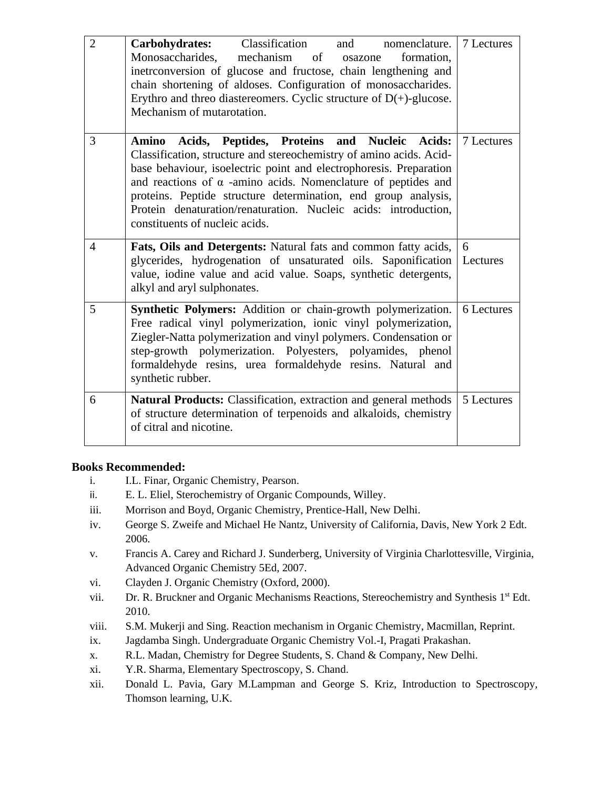| $\overline{2}$ | Classification<br>Carbohydrates:<br>and<br>nomenclature.<br>mechanism of<br>Monosaccharides,<br>formation,<br>osazone<br>inetrconversion of glucose and fructose, chain lengthening and<br>chain shortening of aldoses. Configuration of monosaccharides.<br>Erythro and threo diaster eomers. Cyclic structure of $D(+)$ -glucose.<br>Mechanism of mutarotation.                                                                                 | 7 Lectures    |
|----------------|---------------------------------------------------------------------------------------------------------------------------------------------------------------------------------------------------------------------------------------------------------------------------------------------------------------------------------------------------------------------------------------------------------------------------------------------------|---------------|
| 3              | Acids, Peptides, Proteins and Nucleic Acids:<br>Amino<br>Classification, structure and stereochemistry of amino acids. Acid-<br>base behaviour, isoelectric point and electrophoresis. Preparation<br>and reactions of $\alpha$ -amino acids. Nomenclature of peptides and<br>proteins. Peptide structure determination, end group analysis,<br>Protein denaturation/renaturation. Nucleic acids: introduction,<br>constituents of nucleic acids. | 7 Lectures    |
| $\overline{4}$ | Fats, Oils and Detergents: Natural fats and common fatty acids,<br>glycerides, hydrogenation of unsaturated oils. Saponification<br>value, iodine value and acid value. Soaps, synthetic detergents,<br>alkyl and aryl sulphonates.                                                                                                                                                                                                               | 6<br>Lectures |
| 5              | Synthetic Polymers: Addition or chain-growth polymerization.<br>Free radical vinyl polymerization, ionic vinyl polymerization,<br>Ziegler-Natta polymerization and vinyl polymers. Condensation or<br>step-growth polymerization. Polyesters, polyamides, phenol<br>formaldehyde resins, urea formaldehyde resins. Natural and<br>synthetic rubber.                                                                                               | 6 Lectures    |
| 6              | Natural Products: Classification, extraction and general methods<br>of structure determination of terpenoids and alkaloids, chemistry<br>of citral and nicotine.                                                                                                                                                                                                                                                                                  | 5 Lectures    |

- i. I.L. Finar, Organic Chemistry, Pearson.
- ii. E. L. Eliel, Sterochemistry of Organic Compounds, Willey.
- iii. Morrison and Boyd, Organic Chemistry, Prentice-Hall, New Delhi.
- iv. George S. Zweife and Michael He Nantz, University of California, Davis, New York 2 Edt. 2006.
- v. Francis A. Carey and Richard J. Sunderberg, University of Virginia Charlottesville, Virginia, Advanced Organic Chemistry 5Ed, 2007.
- vi. Clayden J. Organic Chemistry (Oxford, 2000).
- vii. Dr. R. Bruckner and Organic Mechanisms Reactions, Stereochemistry and Synthesis 1<sup>st</sup> Edt. 2010.
- viii. S.M. Mukerji and Sing. Reaction mechanism in Organic Chemistry, Macmillan, Reprint.
- ix. Jagdamba Singh. Undergraduate Organic Chemistry Vol.-I, Pragati Prakashan.
- x. R.L. Madan, Chemistry for Degree Students, S. Chand & Company, New Delhi.
- xi. Y.R. Sharma, Elementary Spectroscopy, S. Chand.
- xii. Donald L. Pavia, Gary M.Lampman and George S. Kriz, Introduction to Spectroscopy, Thomson learning, U.K.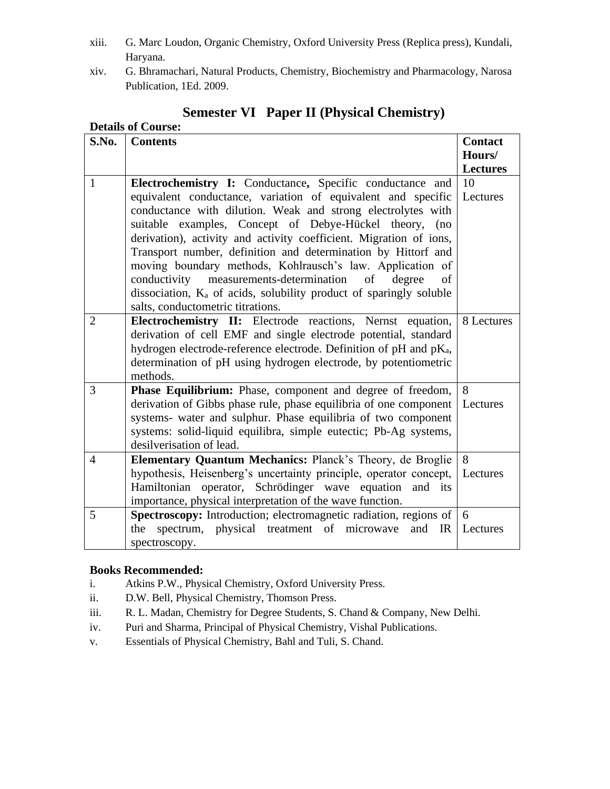- xiii. G. Marc Loudon, Organic Chemistry, Oxford University Press (Replica press), Kundali, Haryana.
- xiv. G. Bhramachari, Natural Products, Chemistry, Biochemistry and Pharmacology, Narosa Publication, 1Ed. 2009.

| <b>Details of Course:</b> |                                                                                                                                                                                                                                                                                                                                                                                                                                                                                                                                                                                                                                                    |                                             |
|---------------------------|----------------------------------------------------------------------------------------------------------------------------------------------------------------------------------------------------------------------------------------------------------------------------------------------------------------------------------------------------------------------------------------------------------------------------------------------------------------------------------------------------------------------------------------------------------------------------------------------------------------------------------------------------|---------------------------------------------|
| S.No.                     | <b>Contents</b>                                                                                                                                                                                                                                                                                                                                                                                                                                                                                                                                                                                                                                    | <b>Contact</b><br>Hours/<br><b>Lectures</b> |
| $\mathbf{1}$              | Electrochemistry I: Conductance, Specific conductance and<br>equivalent conductance, variation of equivalent and specific<br>conductance with dilution. Weak and strong electrolytes with<br>suitable examples, Concept of Debye-Hückel theory,<br>(no<br>derivation), activity and activity coefficient. Migration of ions,<br>Transport number, definition and determination by Hittorf and<br>moving boundary methods, Kohlrausch's law. Application of<br>conductivity measurements-determination<br>of<br>degree<br>of<br>dissociation, K <sub>a</sub> of acids, solubility product of sparingly soluble<br>salts, conductometric titrations. | 10<br>Lectures                              |
| $\overline{2}$            | Electrochemistry II: Electrode reactions, Nernst equation,<br>derivation of cell EMF and single electrode potential, standard<br>hydrogen electrode-reference electrode. Definition of pH and pK <sub>a</sub> ,<br>determination of pH using hydrogen electrode, by potentiometric<br>methods.                                                                                                                                                                                                                                                                                                                                                     | 8 Lectures                                  |
| 3                         | Phase Equilibrium: Phase, component and degree of freedom,<br>derivation of Gibbs phase rule, phase equilibria of one component<br>systems- water and sulphur. Phase equilibria of two component<br>systems: solid-liquid equilibra, simple eutectic; Pb-Ag systems,<br>desilverisation of lead.                                                                                                                                                                                                                                                                                                                                                   | 8<br>Lectures                               |
| 4                         | Elementary Quantum Mechanics: Planck's Theory, de Broglie<br>hypothesis, Heisenberg's uncertainty principle, operator concept,<br>Hamiltonian operator, Schrödinger wave equation and its<br>importance, physical interpretation of the wave function.                                                                                                                                                                                                                                                                                                                                                                                             | 8<br>Lectures                               |
| 5                         | Spectroscopy: Introduction; electromagnetic radiation, regions of<br>spectrum, physical treatment of microwave<br>the<br>and IR<br>spectroscopy.                                                                                                                                                                                                                                                                                                                                                                                                                                                                                                   | 6<br>Lectures                               |

# **Semester VI Paper II (Physical Chemistry)**

- i. Atkins P.W., Physical Chemistry, Oxford University Press.
- ii. D.W. Bell, Physical Chemistry, Thomson Press.
- iii. R. L. Madan, Chemistry for Degree Students, S. Chand & Company, New Delhi.
- iv. Puri and Sharma, Principal of Physical Chemistry, Vishal Publications.
- v. Essentials of Physical Chemistry, Bahl and Tuli, S. Chand.